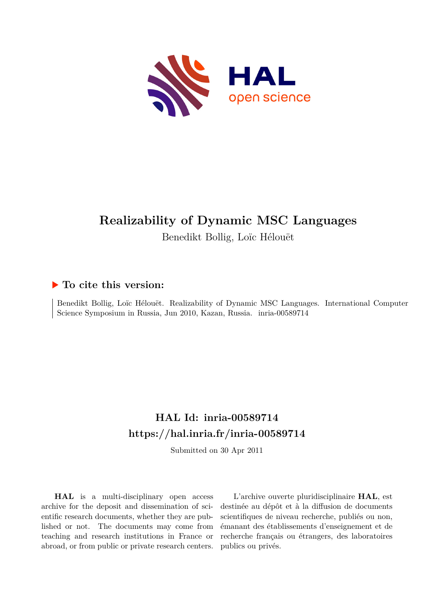

# **Realizability of Dynamic MSC Languages**

Benedikt Bollig, Loïc Hélouët

# **To cite this version:**

Benedikt Bollig, Loïc Hélouët. Realizability of Dynamic MSC Languages. International Computer Science Symposium in Russia, Jun 2010, Kazan, Russia. inria-00589714

# **HAL Id: inria-00589714 <https://hal.inria.fr/inria-00589714>**

Submitted on 30 Apr 2011

**HAL** is a multi-disciplinary open access archive for the deposit and dissemination of scientific research documents, whether they are published or not. The documents may come from teaching and research institutions in France or abroad, or from public or private research centers.

L'archive ouverte pluridisciplinaire **HAL**, est destinée au dépôt et à la diffusion de documents scientifiques de niveau recherche, publiés ou non, émanant des établissements d'enseignement et de recherche français ou étrangers, des laboratoires publics ou privés.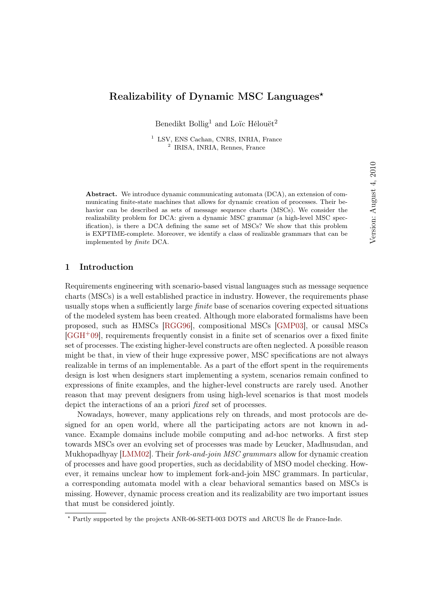# Realizability of Dynamic MSC Languages★

Benedikt Bollig<sup>1</sup> and Loïc Hélouët<sup>2</sup>

<sup>1</sup> LSV, ENS Cachan, CNRS, INRIA, France 2 IRISA, INRIA, Rennes, France

Abstract. We introduce dynamic communicating automata (DCA), an extension of communicating finite-state machines that allows for dynamic creation of processes. Their behavior can be described as sets of message sequence charts (MSCs). We consider the realizability problem for DCA: given a dynamic MSC grammar (a high-level MSC specification), is there a DCA defining the same set of MSCs? We show that this problem is EXPTIME-complete. Moreover, we identify a class of realizable grammars that can be implemented by *finite* DCA.

# 1 Introduction

Requirements engineering with scenario-based visual languages such as message sequence charts (MSCs) is a well established practice in industry. However, the requirements phase usually stops when a sufficiently large finite base of scenarios covering expected situations of the modeled system has been created. Although more elaborated formalisms have been proposed, such as HMSCs [\[RGG96\]](#page-40-0), compositional MSCs [\[GMP03\]](#page-39-0), or causal MSCs [\[GGH](#page-39-1)+09], requirements frequently consist in a finite set of scenarios over a fixed finite set of processes. The existing higher-level constructs are often neglected. A possible reason might be that, in view of their huge expressive power, MSC specifications are not always realizable in terms of an implementable. As a part of the effort spent in the requirements design is lost when designers start implementing a system, scenarios remain confined to expressions of finite examples, and the higher-level constructs are rarely used. Another reason that may prevent designers from using high-level scenarios is that most models depict the interactions of an a priori *fixed* set of processes.

Nowadays, however, many applications rely on threads, and most protocols are designed for an open world, where all the participating actors are not known in advance. Example domains include mobile computing and ad-hoc networks. A first step towards MSCs over an evolving set of processes was made by Leucker, Madhusudan, and Mukhopadhyay [\[LMM02\]](#page-40-1). Their *fork-and-join MSC grammars* allow for dynamic creation of processes and have good properties, such as decidability of MSO model checking. However, it remains unclear how to implement fork-and-join MSC grammars. In particular, a corresponding automata model with a clear behavioral semantics based on MSCs is missing. However, dynamic process creation and its realizability are two important issues that must be considered jointly.

 $^\star$  Partly supported by the projects ANR-06-SETI-003 DOTS and ARCUS Île de France-Inde.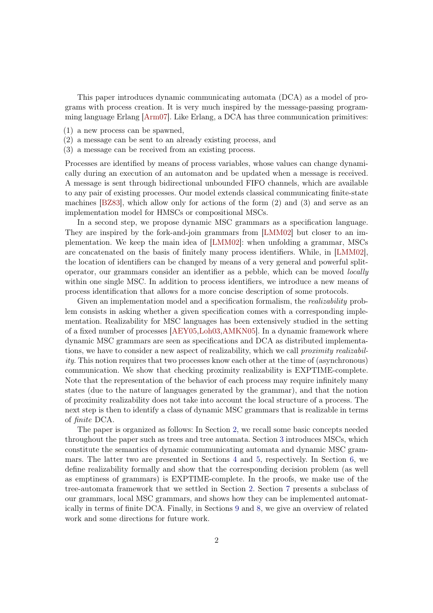This paper introduces dynamic communicating automata (DCA) as a model of programs with process creation. It is very much inspired by the message-passing programming language Erlang [\[Arm07\]](#page-39-2). Like Erlang, a DCA has three communication primitives:

- (1) a new process can be spawned,
- (2) a message can be sent to an already existing process, and
- (3) a message can be received from an existing process.

Processes are identified by means of process variables, whose values can change dynamically during an execution of an automaton and be updated when a message is received. A message is sent through bidirectional unbounded FIFO channels, which are available to any pair of existing processes. Our model extends classical communicating finite-state machines [\[BZ83\]](#page-39-3), which allow only for actions of the form (2) and (3) and serve as an implementation model for HMSCs or compositional MSCs.

In a second step, we propose dynamic MSC grammars as a specification language. They are inspired by the fork-and-join grammars from [\[LMM02\]](#page-40-1) but closer to an implementation. We keep the main idea of [\[LMM02\]](#page-40-1): when unfolding a grammar, MSCs are concatenated on the basis of finitely many process identifiers. While, in [\[LMM02\]](#page-40-1), the location of identifiers can be changed by means of a very general and powerful splitoperator, our grammars consider an identifier as a pebble, which can be moved locally within one single MSC. In addition to process identifiers, we introduce a new means of process identification that allows for a more concise description of some protocols.

Given an implementation model and a specification formalism, the *realizability* problem consists in asking whether a given specification comes with a corresponding implementation. Realizability for MSC languages has been extensively studied in the setting of a fixed number of processes [\[AEY05,](#page-39-4)[Loh03,](#page-40-2)[AMKN05\]](#page-39-5). In a dynamic framework where dynamic MSC grammars are seen as specifications and DCA as distributed implementations, we have to consider a new aspect of realizability, which we call *proximity realizabil*ity. This notion requires that two processes know each other at the time of (asynchronous) communication. We show that checking proximity realizability is EXPTIME-complete. Note that the representation of the behavior of each process may require infinitely many states (due to the nature of languages generated by the grammar), and that the notion of proximity realizability does not take into account the local structure of a process. The next step is then to identify a class of dynamic MSC grammars that is realizable in terms of finite DCA.

The paper is organized as follows: In Section [2,](#page-3-0) we recall some basic concepts needed throughout the paper such as trees and tree automata. Section [3](#page-4-0) introduces MSCs, which constitute the semantics of dynamic communicating automata and dynamic MSC grammars. The latter two are presented in Sections [4](#page-6-0) and [5,](#page-10-0) respectively. In Section [6,](#page-14-0) we define realizability formally and show that the corresponding decision problem (as well as emptiness of grammars) is EXPTIME-complete. In the proofs, we make use of the tree-automata framework that we settled in Section [2.](#page-3-0) Section [7](#page-31-0) presents a subclass of our grammars, local MSC grammars, and shows how they can be implemented automatically in terms of finite DCA. Finally, in Sections [9](#page-38-0) and [8,](#page-37-0) we give an overview of related work and some directions for future work.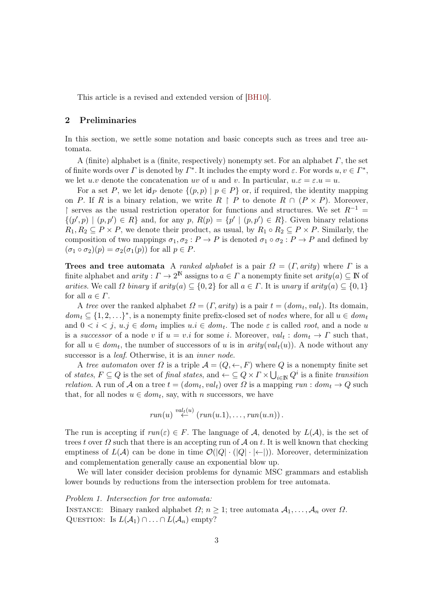This article is a revised and extended version of [\[BH10\]](#page-39-6).

## <span id="page-3-0"></span>2 Preliminaries

In this section, we settle some notation and basic concepts such as trees and tree automata.

A (finite) alphabet is a (finite, respectively) nonempty set. For an alphabet  $\Gamma$ , the set of finite words over  $\Gamma$  is denoted by  $\Gamma^*$ . It includes the empty word  $\varepsilon$ . For words  $u, v \in \Gamma^*$ , we let  $u.v$  denote the concatenation  $uv$  of  $u$  and  $v$ . In particular,  $u.\varepsilon = \varepsilon.u = u$ .

For a set P, we let  $\text{id}_P$  denote  $\{(p, p) \mid p \in P\}$  or, if required, the identity mapping on P. If R is a binary relation, we write  $R \upharpoonright P$  to denote  $R \cap (P \times P)$ . Moreover, ↑ serves as the usual restriction operator for functions and structures. We set  $R^{-1}$  =  $\{(p', p) \mid (p, p') \in R\}$  and, for any  $p, R(p) = \{p' \mid (p, p') \in R\}$ . Given binary relations  $R_1, R_2 \subseteq P \times P$ , we denote their product, as usual, by  $R_1 \circ R_2 \subseteq P \times P$ . Similarly, the composition of two mappings  $\sigma_1, \sigma_2 : P \to P$  is denoted  $\sigma_1 \circ \sigma_2 : P \to P$  and defined by  $(\sigma_1 \circ \sigma_2)(p) = \sigma_2(\sigma_1(p))$  for all  $p \in P$ .

Trees and tree automata A ranked alphabet is a pair  $\Omega = (I, arity)$  where  $\Gamma$  is a finite alphabet and  $arity : \Gamma \to 2^{\mathbb{N}}$  assigns to  $a \in \Gamma$  a nonempty finite set  $arity(a) \subseteq \mathbb{N}$  of arities. We call  $\Omega$  binary if arity( $a \in \{0, 2\}$  for all  $a \in \Gamma$ . It is unary if arity( $a \in \{0, 1\}$ for all  $a \in \Gamma$ .

A tree over the ranked alphabet  $\Omega = (\Gamma, \text{arity})$  is a pair  $t = (\text{dom}_t, \text{val}_t)$ . Its domain,  $dom_t \subseteq \{1, 2, \ldots\}^*$ , is a nonempty finite prefix-closed set of nodes where, for all  $u \in dom_t$ and  $0 < i < j$ ,  $u \cdot j \in dom_t$  implies  $u \cdot i \in dom_t$ . The node  $\varepsilon$  is called root, and a node u is a successor of a node v if  $u = v.i$  for some i. Moreover,  $val_t : dom_t \to \Gamma$  such that, for all  $u \in dom_t$ , the number of successors of u is in  $arity(val_t(u))$ . A node without any successor is a *leaf*. Otherwise, it is an *inner node*.

A tree automaton over  $\Omega$  is a triple  $\mathcal{A} = (Q, \leftarrow, F)$  where Q is a nonempty finite set of states,  $F \subseteq Q$  is the set of final states, and  $\leftarrow \subseteq Q \times \Gamma \times \bigcup_{i \in \mathbb{N}} Q^i$  is a finite transition *relation*. A run of A on a tree  $t = (dom_t, val_t)$  over  $\Omega$  is a mapping  $run : dom_t \to Q$  such that, for all nodes  $u \in dom_t$ , say, with n successors, we have

$$
run(u) \stackrel{val_t(u)}{\leftarrow} (run(u.1), \ldots, run(u.n)).
$$

The run is accepting if  $run(\varepsilon) \in F$ . The language of A, denoted by  $L(\mathcal{A})$ , is the set of trees t over  $\Omega$  such that there is an accepting run of  $\mathcal A$  on t. It is well known that checking emptiness of  $L(\mathcal{A})$  can be done in time  $\mathcal{O}(|Q| \cdot (|Q| \cdot | \leftarrow |))$ . Moreover, determinization and complementation generally cause an exponential blow up.

We will later consider decision problems for dynamic MSC grammars and establish lower bounds by reductions from the intersection problem for tree automata.

Problem 1. Intersection for tree automata:

INSTANCE: Binary ranked alphabet  $\Omega$ ;  $n \geq 1$ ; tree automata  $\mathcal{A}_1, \ldots, \mathcal{A}_n$  over  $\Omega$ . QUESTION: Is  $L(\mathcal{A}_1) \cap ... \cap L(\mathcal{A}_n)$  empty?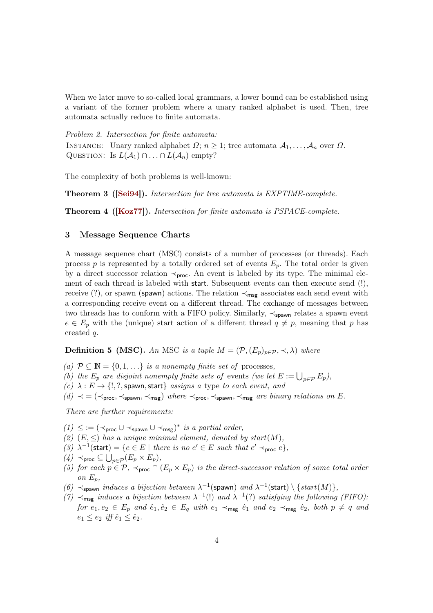When we later move to so-called local grammars, a lower bound can be established using a variant of the former problem where a unary ranked alphabet is used. Then, tree automata actually reduce to finite automata.

Problem 2. Intersection for finite automata: INSTANCE: Unary ranked alphabet  $\Omega; n \geq 1$ ; tree automata  $\mathcal{A}_1, \ldots, \mathcal{A}_n$  over  $\Omega$ . QUESTION: Is  $L(\mathcal{A}_1) \cap ... \cap L(\mathcal{A}_n)$  empty?

The complexity of both problems is well-known:

Theorem 3 ([\[Sei94\]](#page-40-3)). Intersection for tree automata is EXPTIME-complete.

Theorem 4 ([\[Koz77\]](#page-40-4)). Intersection for finite automata is PSPACE-complete.

#### <span id="page-4-0"></span>3 Message Sequence Charts

A message sequence chart (MSC) consists of a number of processes (or threads). Each process  $p$  is represented by a totally ordered set of events  $E_p$ . The total order is given by a direct successor relation  $\prec_{\text{proc}}$ . An event is labeled by its type. The minimal element of each thread is labeled with start. Subsequent events can then execute send (!), receive (?), or spawn (spawn) actions. The relation  $\prec_{\sf msg}$  associates each send event with a corresponding receive event on a different thread. The exchange of messages between two threads has to conform with a FIFO policy. Similarly,  $\prec_{\text{spawn}}$  relates a spawn event  $e \in E_p$  with the (unique) start action of a different thread  $q \neq p$ , meaning that p has created q.

**Definition 5 (MSC).** An MSC is a tuple  $M = (\mathcal{P}, (E_p)_{p \in \mathcal{P}}, \prec, \lambda)$  where

- (a)  $P \subseteq \mathbb{N} = \{0, 1, \ldots\}$  is a nonempty finite set of processes,
- (b) the  $E_p$  are disjoint nonempty finite sets of events (we let  $E := \bigcup_{p \in \mathcal{P}} E_p$ ),
- (c)  $\lambda : E \to \{!,\}$ ?, spawn, start assigns a type to each event, and
- $(d) \prec$  = ( $\prec$ <sub>proc</sub>,  $\prec$ <sub>spawn</sub>,  $\prec$ <sub>msg</sub>) where  $\prec$ <sub>proc</sub>,  $\prec$ <sub>spawn</sub>,  $\prec$ <sub>msg</sub> are binary relations on E.

There are further requirements:

- $(1) \leq$  := ( $\prec$ proc ∪  $\prec$ spawn ∪  $\prec$ msg)<sup>\*</sup> is a partial order,
- (2)  $(E, \leq)$  has a unique minimal element, denoted by start $(M)$ ,
- (3)  $\lambda^{-1}$ (start) = { $e \in E \mid$  there is no  $e' \in E$  such that  $e' \prec_{\text{proc}} e$ },
- $(4)$   $\prec$ proc  $\subseteq \bigcup_{p\in \mathcal{P}} (E_p \times E_p),$
- (5) for each  $p \in \mathcal{P}$ ,  $\prec_{\text{proc}} \cap (E_p \times E_p)$  is the direct-successor relation of some total order on  $E_n$ ,
- (6)  $\prec_{\text{spam}}$  induces a bijection between  $\lambda^{-1}(\text{spam})$  and  $\lambda^{-1}(\text{start}) \setminus \{start(M)\},$
- (7)  $\prec_{\text{msg}}$  induces a bijection between  $\lambda^{-1}$ (!) and  $\lambda^{-1}$ (?) satisfying the following (FIFO): for  $e_1, e_2 \in E_p$  and  $\hat{e}_1, \hat{e}_2 \in E_q$  with  $e_1 \prec_{\sf msg} \hat{e}_1$  and  $e_2 \prec_{\sf msg} \hat{e}_2$ , both  $p \neq q$  and  $e_1 \leq e_2$  iff  $\hat{e}_1 \leq \hat{e}_2$ .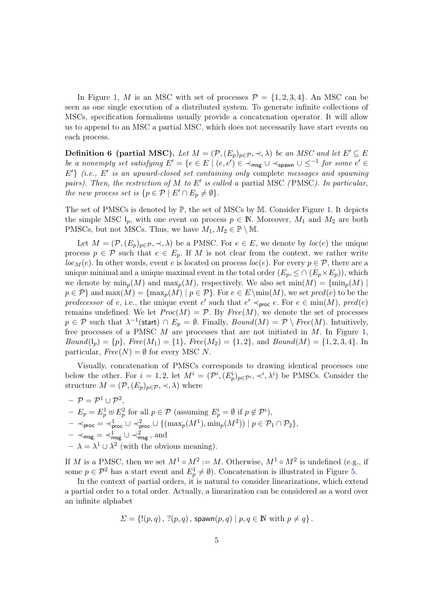In Figure [1,](#page-6-1) M is an MSC with set of processes  $\mathcal{P} = \{1, 2, 3, 4\}$ . An MSC can be seen as one single execution of a distributed system. To generate infinite collections of MSCs, specification formalisms usually provide a concatenation operator. It will allow us to append to an MSC a partial MSC, which does not necessarily have start events on each process.

**Definition 6 (partial MSC).** Let  $M = (\mathcal{P}, (E_p)_{p \in \mathcal{P}}, \prec, \lambda)$  be an MSC and let  $E' \subseteq E$ be a nonempty set satisfying  $E' = \{e \in E \mid (e, e') \in \prec_{\sf msg} \cup \prec_{\sf spawn} \cup \leq^{-1} \text{ for some } e' \in$  $E'$ } (i.e.,  $E'$  is an upward-closed set containing only complete messages and spawning pairs). Then, the restriction of  $M$  to  $E'$  is called a partial MSC (PMSC). In particular, the new process set is  $\{p \in \mathcal{P} \mid E' \cap E_p \neq \emptyset\}.$ 

The set of PMSCs is denoted by ℙ, the set of MSCs by M. Consider Figure [1.](#page-6-1) It depicts the simple MSC  $I_n$ , with one event on process  $p \in \mathbb{N}$ . Moreover,  $M_1$  and  $M_2$  are both PMSCs, but not MSCs. Thus, we have  $M_1, M_2 \in \mathbb{P} \setminus \mathbb{M}$ .

Let  $M = (\mathcal{P}, (E_p)_{p \in \mathcal{P}}, \prec, \lambda)$  be a PMSC. For  $e \in E$ , we denote by  $loc(e)$  the unique process  $p \in \mathcal{P}$  such that  $e \in E_p$ . If M is not clear from the context, we rather write  $loc_M(e)$ . In other words, event e is located on process  $loc(e)$ . For every  $p \in \mathcal{P}$ , there are a unique minimal and a unique maximal event in the total order  $(E_p, \leq \cap (E_p \times E_p))$ , which we denote by  $\min_p(M)$  and  $\max_p(M)$ , respectively. We also set  $\min(M) = {\min_p(M) |}$  $p \in \mathcal{P}$ } and  $\max(M) = {\max_p(M) | p \in \mathcal{P}}$ . For  $e \in E \setminus \min(M)$ , we set pred(e) to be the predecessor of e, i.e., the unique event e' such that  $e' \prec_{\text{proc}} e$ . For  $e \in \min(M)$ , pred(e) remains undefined. We let  $Proc(M) = P$ . By  $Free(M)$ , we denote the set of processes  $p \in \mathcal{P}$  such that  $\lambda^{-1}(\textsf{start}) \cap E_p = \emptyset$ . Finally,  $Bound(M) = \mathcal{P} \setminus Free(M)$ . Intuitively, free processes of a PMSC  $M$  are processes that are not initiated in  $M$ . In Figure [1,](#page-6-1)  $Bound(I_p) = \{p\}, \, Free(M_1) = \{1\}, \, Free(M_2) = \{1, 2\}, \, and \, Bound(M) = \{1, 2, 3, 4\}.$  In particular,  $Free(N) = \emptyset$  for every MSC N.

Visually, concatenation of PMSCs corresponds to drawing identical processes one below the other. For  $i = 1, 2$ , let  $M^i = (\mathcal{P}^i, (E_p^i)_{p \in \mathcal{P}^i}, \prec^i, \lambda^i)$  be PMSCs. Consider the structure  $M = (\mathcal{P}, (E_p)_{p \in \mathcal{P}}, \prec, \lambda)$  where

 $- \,\, {\mathcal P} = {\mathcal P}^1 \cup {\mathcal P}^2,$  $-F_p = E_p^1 \oplus E_p^2$  for all  $p \in \mathcal{P}$  (assuming  $E_p^i = \emptyset$  if  $p \notin \mathcal{P}^i$ ),  $- \prec_{\mathsf{proc}} \; = \; \prec_{\mathsf{proc}}^1 \cup \; \prec_{\mathsf{proc}}^2 \cup \; \{(\max_p(M^1), \min_p(M^2)) \mid p \in \mathcal{P}_1 \cap \mathcal{P}_2\},$  $- \prec_{\sf msg} = \prec_{\sf msg}^1 \cup \prec_{\sf msg}^2$ , and  $-\lambda = \lambda^1 \cup \lambda^2$  (with the obvious meaning).

If M is a PMSC, then we set  $M^1 \circ M^2 := M$ . Otherwise,  $M^1 \circ M^2$  is undefined (e.g., if some  $p \in \mathcal{P}^2$  has a start event and  $E_p^1 \neq \emptyset$ ). Concatenation is illustrated in Figure [5.](#page-12-0)

In the context of partial orders, it is natural to consider linearizations, which extend a partial order to a total order. Actually, a linearization can be considered as a word over an infinite alphabet

$$
\Sigma = \{!(p,q), ?(p,q), \text{spam}(p,q) \mid p,q \in \mathbb{N} \text{ with } p \neq q\}.
$$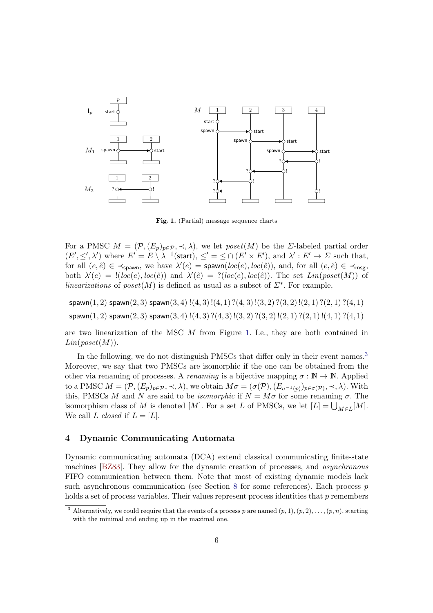

<span id="page-6-1"></span>Fig. 1. (Partial) message sequence charts

For a PMSC  $M = (\mathcal{P}, (E_p)_{p \in \mathcal{P}}, \prec, \lambda)$ , we let poset(M) be the  $\Sigma$ -labeled partial order  $(E', \leq', \lambda')$  where  $E' = E \setminus \lambda^{-1}$  (start),  $\leq' = \leq \cap (E' \times E')$ , and  $\lambda' : E' \to \Sigma$  such that, for all  $(e, \hat{e}) \in \prec_{\text{spawn}}$ , we have  $\lambda'(e) = \text{spawn}(loc(e), loc(\hat{e}))$ , and, for all  $(e, \hat{e}) \in \prec_{\text{msg}}$ , both  $\lambda'(e) = !(loc(e), loc(\hat{e}))$  and  $\lambda'(\hat{e}) = ?(loc(e), loc(\hat{e}))$ . The set  $Lin(poset(M))$  of linearizations of poset(M) is defined as usual as a subset of  $\Sigma^*$ . For example,

 $span(1, 2)$  spawn $(2, 3)$  spawn $(3, 4)$ ! $(4, 3)$ ! $(4, 1)$ ? $(4, 3)$ ! $(3, 2)$ ? $(3, 2)$ ! $(2, 1)$ ? $(2, 1)$ ? $(4, 1)$  $s$ pawn $(1, 2)$  spawn $(2, 3)$  spawn $(3, 4)$ ! $(4, 3)$ ? $(4, 3)$ ! $(3, 2)$ ? $(3, 2)$ ! $(2, 1)$ ? $(2, 1)$ ! $(4, 1)$ ? $(4, 1)$ 

are two linearization of the MSC  $M$  from Figure [1.](#page-6-1) I.e., they are both contained in  $Lin(poset(M)).$ 

In the following, we do not distinguish PMSCs that differ only in their event names.<sup>[3](#page-6-2)</sup> Moreover, we say that two PMSCs are isomorphic if the one can be obtained from the other via renaming of processes. A *renaming* is a bijective mapping  $\sigma : \mathbb{N} \to \mathbb{N}$ . Applied to a PMSC  $M = (\mathcal{P}, (E_p)_{p \in \mathcal{P}}, \prec, \lambda)$ , we obtain  $M\sigma = (\sigma(\mathcal{P}), (E_{\sigma^{-1}(p)})_{p \in \sigma(\mathcal{P})}, \prec, \lambda)$ . With this, PMSCs M and N are said to be *isomorphic* if  $N = M\sigma$  for some renaming  $\sigma$ . The isomorphism class of  $M$  is denoted  $[M]$ . For a set  $L$  of PMSCs, we let  $[L] = \bigcup_{M \in L}[M]$ . We call L closed if  $L = [L]$ .

#### <span id="page-6-0"></span>4 Dynamic Communicating Automata

Dynamic communicating automata (DCA) extend classical communicating finite-state machines [\[BZ83\]](#page-39-3). They allow for the dynamic creation of processes, and asynchronous FIFO communication between them. Note that most of existing dynamic models lack such asynchronous communication (see Section [8](#page-37-0) for some references). Each process  $p$ holds a set of process variables. Their values represent process identities that  $p$  remembers

<span id="page-6-2"></span><sup>&</sup>lt;sup>3</sup> Alternatively, we could require that the events of a process p are named  $(p, 1), (p, 2), \ldots, (p, n)$ , starting with the minimal and ending up in the maximal one.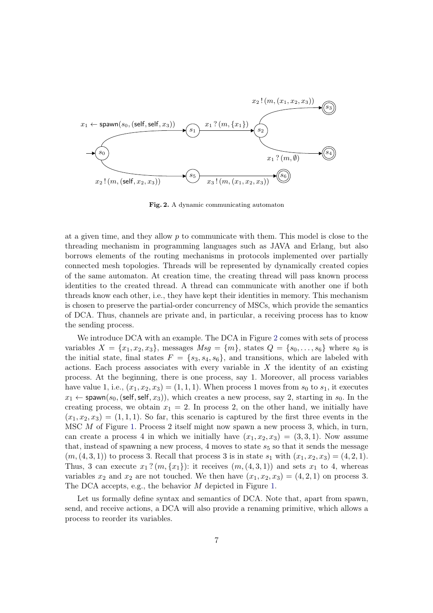

<span id="page-7-0"></span>Fig. 2. A dynamic communicating automaton

at a given time, and they allow  $p$  to communicate with them. This model is close to the threading mechanism in programming languages such as JAVA and Erlang, but also borrows elements of the routing mechanisms in protocols implemented over partially connected mesh topologies. Threads will be represented by dynamically created copies of the same automaton. At creation time, the creating thread will pass known process identities to the created thread. A thread can communicate with another one if both threads know each other, i.e., they have kept their identities in memory. This mechanism is chosen to preserve the partial-order concurrency of MSCs, which provide the semantics of DCA. Thus, channels are private and, in particular, a receiving process has to know the sending process.

We introduce DCA with an example. The DCA in Figure [2](#page-7-0) comes with sets of process variables  $X = \{x_1, x_2, x_3\}$ , messages  $Msg = \{m\}$ , states  $Q = \{s_0, \ldots, s_6\}$  where  $s_0$  is the initial state, final states  $F = \{s_3, s_4, s_6\}$ , and transitions, which are labeled with actions. Each process associates with every variable in  $X$  the identity of an existing process. At the beginning, there is one process, say 1. Moreover, all process variables have value 1, i.e.,  $(x_1, x_2, x_3) = (1, 1, 1)$ . When process 1 moves from  $s_0$  to  $s_1$ , it executes  $x_1 \leftarrow$  spawn( $s_0$ , (self, self,  $x_3$ )), which creates a new process, say 2, starting in  $s_0$ . In the creating process, we obtain  $x_1 = 2$ . In process 2, on the other hand, we initially have  $(x_1, x_2, x_3) = (1, 1, 1)$ . So far, this scenario is captured by the first three events in the MSC  $M$  of Figure [1.](#page-6-1) Process 2 itself might now spawn a new process 3, which, in turn, can create a process 4 in which we initially have  $(x_1, x_2, x_3) = (3, 3, 1)$ . Now assume that, instead of spawning a new process, 4 moves to state  $s<sub>5</sub>$  so that it sends the message  $(m, (4, 3, 1))$  to process 3. Recall that process 3 is in state  $s_1$  with  $(x_1, x_2, x_3) = (4, 2, 1).$ Thus, 3 can execute  $x_1$ ?  $(m, \{x_1\})$ : it receives  $(m, (4, 3, 1))$  and sets  $x_1$  to 4, whereas variables  $x_2$  and  $x_2$  are not touched. We then have  $(x_1, x_2, x_3) = (4, 2, 1)$  on process 3. The DCA accepts, e.g., the behavior  $M$  depicted in Figure [1.](#page-6-1)

Let us formally define syntax and semantics of DCA. Note that, apart from spawn, send, and receive actions, a DCA will also provide a renaming primitive, which allows a process to reorder its variables.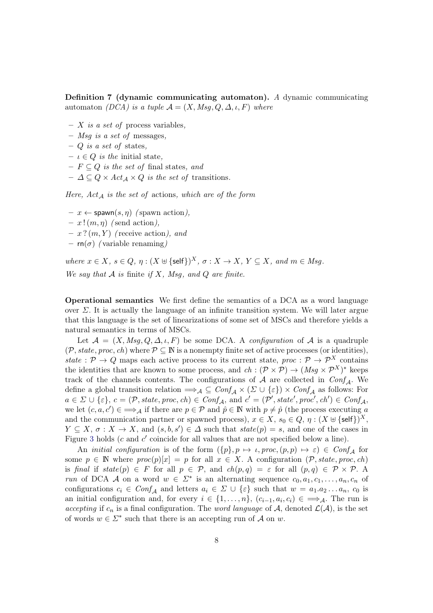Definition 7 (dynamic communicating automaton). A dynamic communicating automaton (DCA) is a tuple  $A = (X, Msg, Q, \Delta, \iota, F)$  where

- $X$  is a set of process variables,
- $-$  *Msq is a set of* messages,
- $-$  Q is a set of states,
- $\iota \in Q$  is the initial state.
- $F \subseteq Q$  is the set of final states, and
- $\Delta \subseteq Q \times Act_A \times Q$  is the set of transitions.

Here,  $Act_{\mathcal{A}}$  is the set of actions, which are of the form

- $x \leftarrow$  spawn $(s, \eta)$  (spawn action),
- $x! (m, \eta)$  (send action),
- $x ? (m, Y)$  (receive action), and
- $rn(\sigma)$  (variable renaming)

where  $x \in X$ ,  $s \in Q$ ,  $\eta : (X \oplus {\{\text{self}\}})^X$ ,  $\sigma : X \to X$ ,  $Y \subseteq X$ , and  $m \in Msg$ . We say that  $A$  is finite if  $X$ , Msg, and  $Q$  are finite.

Operational semantics We first define the semantics of a DCA as a word language over  $\Sigma$ . It is actually the language of an infinite transition system. We will later argue that this language is the set of linearizations of some set of MSCs and therefore yields a natural semantics in terms of MSCs.

Let  $A = (X, Msq, Q, \Delta, \iota, F)$  be some DCA. A *configuration* of A is a quadruple  $(\mathcal{P}, state, proc, ch)$  where  $\mathcal{P} \subseteq \mathbb{N}$  is a nonempty finite set of active processes (or identities), state :  $\mathcal{P} \to Q$  maps each active process to its current state, proc :  $\mathcal{P} \to \mathcal{P}^X$  contains the identities that are known to some process, and  $ch : (\mathcal{P} \times \mathcal{P}) \to (Msg \times \mathcal{P}^X)^*$  keeps track of the channels contents. The configurations of  $A$  are collected in  $Conf_A$ . We define a global transition relation  $\Rightarrow_{\mathcal{A}} \subseteq Conf_{\mathcal{A}} \times (\Sigma \cup \{\varepsilon\}) \times Conf_{\mathcal{A}}$  as follows: For  $a \in \Sigma \cup \{\varepsilon\}, c = (\mathcal{P}, state, proc, ch) \in Conf_{\mathcal{A}}, \text{ and } c' = (\mathcal{P}', state', proc', ch') \in Conf_{\mathcal{A}},$ we let  $(c, a, c') \in \Rightarrow_{\mathcal{A}}$  if there are  $p \in \mathcal{P}$  and  $\hat{p} \in \mathbb{N}$  with  $p \neq \hat{p}$  (the process executing a and the communication partner or spawned process),  $x \in X$ ,  $s_0 \in Q$ ,  $\eta : (X \uplus {\{\text{self}\}})^X$ ,  $Y \subseteq X$ ,  $\sigma: X \to X$ , and  $(s, b, s') \in \Delta$  such that  $state(p) = s$ , and one of the cases in Figure [3](#page-9-0) holds  $(c$  and  $c'$  coincide for all values that are not specified below a line).

An *initial configuration* is of the form  $(\{p\}, p \mapsto \iota, proc, (p, p) \mapsto \varepsilon) \in Conf_{\mathcal{A}}$  for some  $p \in \mathbb{N}$  where  $proc(p)[x] = p$  for all  $x \in X$ . A configuration  $(\mathcal{P}, state, proc, ch)$ is final if state(p)  $\in$  F for all  $p \in \mathcal{P}$ , and  $ch(p,q) = \varepsilon$  for all  $(p,q) \in \mathcal{P} \times \mathcal{P}$ . A run of DCA A on a word  $w \in \Sigma^*$  is an alternating sequence  $c_0, a_1, c_1, \ldots, a_n, c_n$  of configurations  $c_i \in Conf_A$  and letters  $a_i \in \Sigma \cup \{\varepsilon\}$  such that  $w = a_1 a_2 \ldots a_n$ ,  $c_0$  is an initial configuration and, for every  $i \in \{1, \ldots, n\}$ ,  $(c_{i-1}, a_i, c_i) \in \implies_{\mathcal{A}}$ . The run is accepting if  $c_n$  is a final configuration. The word language of A, denoted  $\mathcal{L}(\mathcal{A})$ , is the set of words  $w \in \Sigma^*$  such that there is an accepting run of  $\mathcal A$  on  $w$ .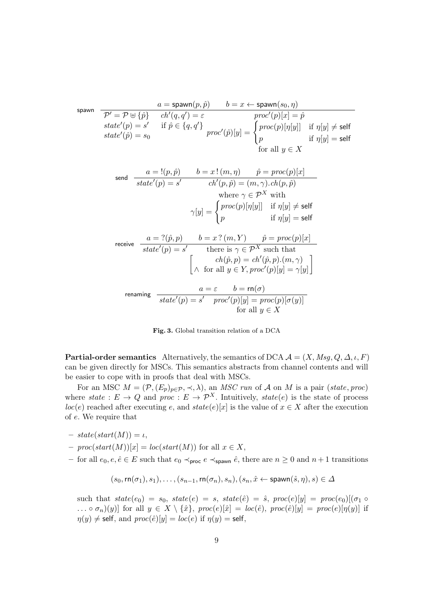$$
\begin{array}{ll}\n\text{spawn} & \frac{a = \text{spawn}(p, \hat{p})}{\mathcal{P}' = \mathcal{P} \oplus \{\hat{p}\} } & \frac{ch'(q, q') = \varepsilon}{ch'(q, q') = \varepsilon} & \frac{proc'(p)[x] = \hat{p}}{proc(p)[\eta[y]]} & \text{if } \eta[y] \neq \text{self} \\
\text{state}'(\hat{p}) = s_0 & \text{if } \hat{p} \in \{q, q'\} & \text{proc}(p)[\eta[y]]} & \text{if } \eta[y] \neq \text{self} \\
\text{state}'(\hat{p}) = s_0 & \text{if } \eta[y] = \text{self} & \text{if } \eta[y] = \text{self} \\
\text{for all } y \in X & \text{if } \eta[y] = \text{self} \\
\text{send} & \frac{a = !(p, \hat{p})}{state'(p) = s'} & \frac{b = x \cdot (m, \eta)}{ch'(p, \hat{p}) = (m, \gamma) \cdot ch(p, \hat{p})} \\
\text{where } \gamma \in \mathcal{P}^X \text{ with} \\
\gamma[y] = \begin{cases} proc(p)[\eta[y]] & \text{if } \eta[y] \neq \text{self} \\
p & \text{if } \eta[y] = \text{self} \\
\text{receive} & \frac{a = ?(\hat{p}, p)}{state'(p) = s'} & \text{there is } \gamma \in \mathcal{P}^X \text{ such that} \\
& \frac{ch(\hat{p}, p) = ch'(\hat{p}, p) \cdot (m, \gamma)}{ch \text{ for all } y \in Y, proc'(p)[y] = \gamma[y]}\n\end{cases} \\
\text{renaming} & \frac{a = \varepsilon}{state'(p) = s'} & \text{proc}(p)[y] = proc(p)[\sigma(y)] \\
\text{for all } y \in X\n\end{array}
$$

<span id="page-9-0"></span>Fig. 3. Global transition relation of a DCA

**Partial-order semantics** Alternatively, the semantics of DCA  $\mathcal{A} = (X, Msg, Q, \Delta, \iota, F)$ can be given directly for MSCs. This semantics abstracts from channel contents and will be easier to cope with in proofs that deal with MSCs.

For an MSC  $M = (\mathcal{P}, (E_p)_{p \in \mathcal{P}}, \prec, \lambda)$ , an *MSC run* of  $\mathcal A$  on  $M$  is a pair (state, proc) where state :  $E \to Q$  and proc :  $E \to \mathcal{P}^X$ . Intuitively, state(e) is the state of process  $loc(e)$  reached after executing e, and  $state(e)[x]$  is the value of  $x \in X$  after the execution of e. We require that

- $state(start(M)) = \iota,$
- $proc(start(M))[x] = loc(start(M))$  for all  $x \in X$ ,
- for all  $e_0, e, \hat{e} \in E$  such that  $e_0 \prec_{\text{proc}} e \prec_{\text{spawn}} \hat{e}$ , there are  $n \geq 0$  and  $n+1$  transitions

$$
(s_0,\text{rn}(\sigma_1),s_1),\ldots,(s_{n-1},\text{rn}(\sigma_n),s_n),(s_n,\hat{x}\leftarrow \text{spawn}(\hat{s},\eta),s)\in\Delta
$$

such that  $state(e_0) = s_0$ ,  $state(e) = s$ ,  $state(\hat{e}) = \hat{s}$ , proc $(e)[y] = proc(e_0)[(\sigma_1 \circ$ ... ∘  $\sigma_n(y)$ ] for all  $y \in X \setminus \{\hat{x}\}, \text{proc}(e)[\hat{x}] = \text{loc}(\hat{e}), \text{proc}(\hat{e})[y] = \text{proc}(e)[\eta(y)]$  if  $\eta(y) \neq$  self, and  $proc(\hat{e})[y] = loc(e)$  if  $\eta(y) =$  self,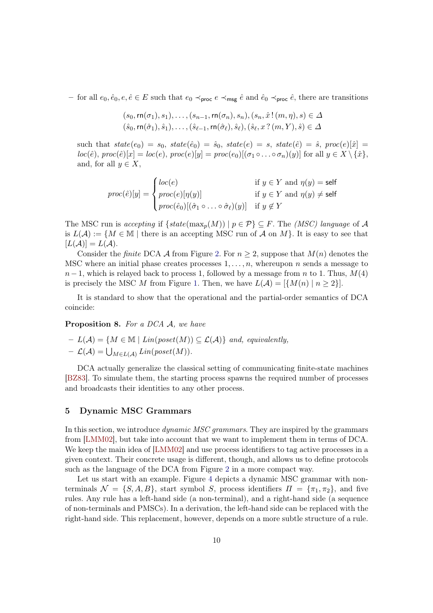– for all  $e_0, \hat{e}_0, e, \hat{e} \in E$  such that  $e_0 \prec_{\text{proc}} e \prec_{\text{msg}} \hat{e}$  and  $\hat{e}_0 \prec_{\text{proc}} \hat{e}$ , there are transitions

$$
(s_0, \mathsf{rn}(\sigma_1), s_1), \dots, (s_{n-1}, \mathsf{rn}(\sigma_n), s_n), (s_n, \hat{x} \,|\, (m, \eta), s) \in \Delta
$$
  

$$
(\hat{s}_0, \mathsf{rn}(\hat{\sigma}_1), \hat{s}_1), \dots, (\hat{s}_{\ell-1}, \mathsf{rn}(\hat{\sigma}_{\ell}), \hat{s}_{\ell}), (\hat{s}_{\ell}, x \,?\, (m, Y), \hat{s}) \in \Delta
$$

such that  $state(e_0) = s_0$ ,  $state(\hat{e}_0) = \hat{s}_0$ ,  $state(e) = s$ ,  $state(\hat{e}) = \hat{s}$ , proc $(e)[\hat{x}] =$  $loc(\hat{e}), proc(\hat{e})[x] = loc(e), proc(e)[y] = proc(e_0)[(\sigma_1 \circ ... \circ \sigma_n)(y)]$  for all  $y \in X \setminus {\hat{x}}$ , and, for all  $y \in X$ ,

$$
proc(\hat{e})[y] = \begin{cases} loc(e) & \text{if } y \in Y \text{ and } \eta(y) = \text{self} \\ proc(e)[\eta(y)] & \text{if } y \in Y \text{ and } \eta(y) \neq \text{self} \\ proc(\hat{e}_0)[(\hat{\sigma}_1 \circ \dots \circ \hat{\sigma}_\ell)(y)] & \text{if } y \notin Y \end{cases}
$$

The MSC run is accepting if  $\{state(\max_n(M)) \mid p \in \mathcal{P}\}\subseteq F$ . The *(MSC) language* of A is  $L(\mathcal{A}) := \{M \in \mathbb{M} \mid \text{there is an accepting MSC run of } \mathcal{A} \text{ on } M\}.$  It is easy to see that  $[L(\mathcal{A})] = L(\mathcal{A}).$ 

Consider the finite DCA A from Figure [2.](#page-7-0) For  $n \geq 2$ , suppose that  $M(n)$  denotes the MSC where an initial phase creates processes  $1, \ldots, n$ , whereupon n sends a message to  $n-1$ , which is relayed back to process 1, followed by a message from n to 1. Thus,  $M(4)$ is precisely the MSC M from Figure [1.](#page-6-1) Then, we have  $L(\mathcal{A}) = [\{M(n) \mid n \geq 2\}].$ 

It is standard to show that the operational and the partial-order semantics of DCA coincide:

**Proposition 8.** For a DCA A, we have

$$
- L(\mathcal{A}) = \{ M \in \mathbb{M} \mid Lin(poset(M)) \subseteq \mathcal{L}(\mathcal{A}) \} and, equivalently,- \mathcal{L}(\mathcal{A}) = \bigcup_{M \in L(\mathcal{A})} Lin(poset(M)).
$$

DCA actually generalize the classical setting of communicating finite-state machines [\[BZ83\]](#page-39-3). To simulate them, the starting process spawns the required number of processes and broadcasts their identities to any other process.

#### <span id="page-10-0"></span>5 Dynamic MSC Grammars

In this section, we introduce *dynamic MSC grammars*. They are inspired by the grammars from [\[LMM02\]](#page-40-1), but take into account that we want to implement them in terms of DCA. We keep the main idea of [\[LMM02\]](#page-40-1) and use process identifiers to tag active processes in a given context. Their concrete usage is different, though, and allows us to define protocols such as the language of the DCA from Figure [2](#page-7-0) in a more compact way.

Let us start with an example. Figure [4](#page-11-0) depicts a dynamic MSC grammar with nonterminals  $\mathcal{N} = \{S, A, B\}$ , start symbol S, process identifiers  $\Pi = \{\pi_1, \pi_2\}$ , and five rules. Any rule has a left-hand side (a non-terminal), and a right-hand side (a sequence of non-terminals and PMSCs). In a derivation, the left-hand side can be replaced with the right-hand side. This replacement, however, depends on a more subtle structure of a rule.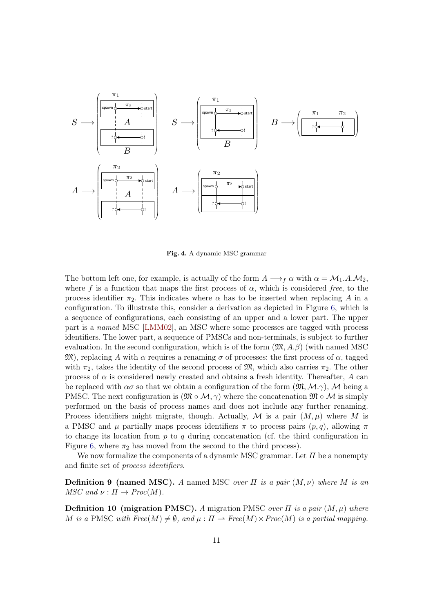

<span id="page-11-0"></span>Fig. 4. A dynamic MSC grammar

The bottom left one, for example, is actually of the form  $A \longrightarrow_{f} \alpha$  with  $\alpha = \mathcal{M}_1.A.\mathcal{M}_2$ , where f is a function that maps the first process of  $\alpha$ , which is considered free, to the process identifier  $\pi_2$ . This indicates where  $\alpha$  has to be inserted when replacing A in a configuration. To illustrate this, consider a derivation as depicted in Figure [6,](#page-13-0) which is a sequence of configurations, each consisting of an upper and a lower part. The upper part is a named MSC [\[LMM02\]](#page-40-1), an MSC where some processes are tagged with process identifiers. The lower part, a sequence of PMSCs and non-terminals, is subject to further evaluation. In the second configuration, which is of the form  $(\mathfrak{M}, A, \beta)$  (with named MSC  $\mathfrak{M}$ ), replacing A with  $\alpha$  requires a renaming  $\sigma$  of processes: the first process of  $\alpha$ , tagged with  $\pi_2$ , takes the identity of the second process of  $\mathfrak{M}$ , which also carries  $\pi_2$ . The other process of  $\alpha$  is considered newly created and obtains a fresh identity. Thereafter, A can be replaced with  $\alpha\sigma$  so that we obtain a configuration of the form  $(\mathfrak{M}, \mathcal{M}, \gamma)$ , M being a PMSC. The next configuration is  $(\mathfrak{M} \circ M, \gamma)$  where the concatenation  $\mathfrak{M} \circ M$  is simply performed on the basis of process names and does not include any further renaming. Process identifiers might migrate, though. Actually, M is a pair  $(M, \mu)$  where M is a PMSC and  $\mu$  partially maps process identifiers  $\pi$  to process pairs  $(p, q)$ , allowing  $\pi$ to change its location from  $p$  to  $q$  during concatenation (cf. the third configuration in Figure [6,](#page-13-0) where  $\pi_2$  has moved from the second to the third process).

We now formalize the components of a dynamic MSC grammar. Let  $\Pi$  be a nonempty and finite set of process identifiers.

**Definition 9 (named MSC).** A named MSC over  $\Pi$  is a pair  $(M, \nu)$  where M is an  $MSC$  and  $\nu : \Pi \to \text{Proc}(M)$ .

**Definition 10 (migration PMSC).** A migration PMSC over  $\Pi$  is a pair  $(M, \mu)$  where M is a PMSC with  $Free(M) \neq \emptyset$ , and  $\mu : \Pi \to Free(M) \times Proc(M)$  is a partial mapping.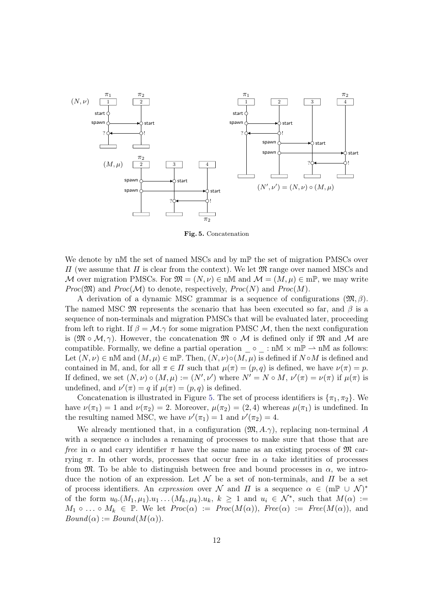

<span id="page-12-0"></span>Fig. 5. Concatenation

We denote by n $\mathbb M$  the set of named MSCs and by m $\mathbb P$  the set of migration PMSCs over  $\Pi$  (we assume that  $\Pi$  is clear from the context). We let  $\mathfrak{M}$  range over named MSCs and M over migration PMSCs. For  $\mathfrak{M} = (N, \nu) \in \mathfrak{m} \mathbb{M}$  and  $\mathcal{M} = (M, \mu) \in \mathfrak{m} \mathbb{P}$ , we may write  $Proc(\mathfrak{M})$  and  $Proc(\mathcal{M})$  to denote, respectively,  $Proc(N)$  and  $Proc(M)$ .

A derivation of a dynamic MSC grammar is a sequence of configurations  $(\mathfrak{M}, \beta)$ . The named MSC  $\mathfrak{M}$  represents the scenario that has been executed so far, and  $\beta$  is a sequence of non-terminals and migration PMSCs that will be evaluated later, proceeding from left to right. If  $\beta = \mathcal{M} \gamma$  for some migration PMSC  $\mathcal{M}$ , then the next configuration is  $(\mathfrak{M} \circ M, \gamma)$ . However, the concatenation  $\mathfrak{M} \circ M$  is defined only if  $\mathfrak{M}$  and M are compatible. Formally, we define a partial operation  $\circ$  : n $\mathbb{M} \times m\mathbb{P} \to n\mathbb{M}$  as follows: Let  $(N, \nu) \in \text{nM}$  and  $(M, \mu) \in \text{mP}$ . Then,  $(N, \nu) \circ (M, \mu)$  is defined if  $N \circ M$  is defined and contained in M, and, for all  $\pi \in \Pi$  such that  $\mu(\pi) = (p, q)$  is defined, we have  $\nu(\pi) = p$ . If defined, we set  $(N, \nu) \circ (M, \mu) := (N', \nu')$  where  $N' = N \circ M$ ,  $\nu'(\pi) = \nu(\pi)$  if  $\mu(\pi)$  is undefined, and  $\nu'(\pi) = q$  if  $\mu(\pi) = (p, q)$  is defined.

Concatenation is illustrated in Figure [5.](#page-12-0) The set of process identifiers is  $\{\pi_1, \pi_2\}$ . We have  $\nu(\pi_1) = 1$  and  $\nu(\pi_2) = 2$ . Moreover,  $\mu(\pi_2) = (2, 4)$  whereas  $\mu(\pi_1)$  is undefined. In the resulting named MSC, we have  $\nu'(\pi_1) = 1$  and  $\nu'(\pi_2) = 4$ .

We already mentioned that, in a configuration  $(\mathfrak{M}, A, \gamma)$ , replacing non-terminal A with a sequence  $\alpha$  includes a renaming of processes to make sure that those that are free in  $\alpha$  and carry identifier  $\pi$  have the same name as an existing process of  $\mathfrak{M}$  carrying  $\pi$ . In other words, processes that occur free in  $\alpha$  take identities of processes from  $\mathfrak{M}$ . To be able to distinguish between free and bound processes in  $\alpha$ , we introduce the notion of an expression. Let  $\mathcal N$  be a set of non-terminals, and  $\Pi$  be a set of process identifiers. An *expression* over  $\mathcal N$  and  $\Pi$  is a sequence  $\alpha \in (\text{m}\mathbb{P} \cup \mathcal{N})^*$ of the form  $u_0.(M_1, \mu_1).u_1 \ldots (M_k, \mu_k).u_k, k \geq 1$  and  $u_i \in \mathcal{N}^*$ , such that  $M(\alpha) :=$  $M_1 \circ \ldots \circ M_k \in \mathbb{P}$ . We let  $Proc(\alpha) := Proc(M(\alpha))$ ,  $Free(\alpha) := Free(M(\alpha))$ , and  $Bound(\alpha) := Bound(M(\alpha)).$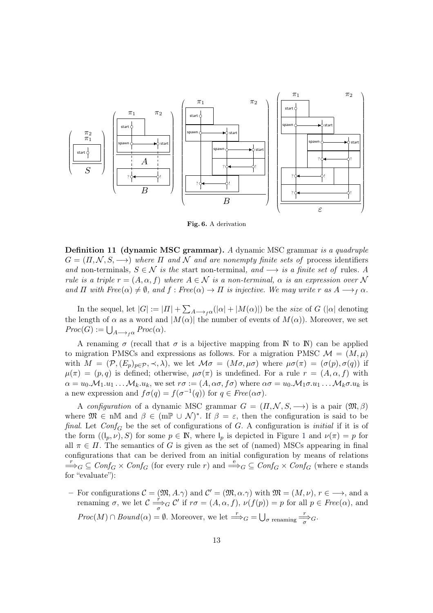

<span id="page-13-0"></span>Fig. 6. A derivation

Definition 11 (dynamic MSC grammar). A dynamic MSC grammar is a quadruple  $G = (II, \mathcal{N}, S, \longrightarrow)$  where  $\Pi$  and  $\mathcal N$  and are nonempty finite sets of process identifiers and non-terminals,  $S \in \mathcal{N}$  is the start non-terminal, and  $\longrightarrow$  is a finite set of rules. A rule is a triple  $r = (A, \alpha, f)$  where  $A \in \mathcal{N}$  is a non-terminal,  $\alpha$  is an expression over N and  $\Pi$  with  $Free(\alpha) \neq \emptyset$ , and  $f: Free(\alpha) \to \Pi$  is injective. We may write  $r$  as  $A \longrightarrow_f \alpha$ .

In the sequel, let  $|G| := |H| + \sum_{A \to f\alpha} (|\alpha| + |M(\alpha)|)$  be the *size* of  $G$  ( $|\alpha|$  denoting the length of  $\alpha$  as a word and  $|M(\alpha)|$  the number of events of  $M(\alpha)$ ). Moreover, we set  $Proc(G) := \bigcup_{A \longrightarrow_{f} \alpha} Proc(\alpha).$ 

A renaming  $\sigma$  (recall that  $\sigma$  is a bijective mapping from N to N) can be applied to migration PMSCs and expressions as follows. For a migration PMSC  $\mathcal{M} = (M, \mu)$ with  $M = (\mathcal{P}, (E_p)_{p \in \mathcal{P}}, \prec, \lambda)$ , we let  $\mathcal{M}\sigma = (M\sigma, \mu\sigma)$  where  $\mu\sigma(\pi) = (\sigma(p), \sigma(q))$  if  $\mu(\pi) = (p,q)$  is defined; otherwise,  $\mu\sigma(\pi)$  is undefined. For a rule  $r = (A,\alpha,f)$  with  $\alpha = u_0.\mathcal{M}_1.u_1\ldots\mathcal{M}_k.u_k$ , we set  $r\sigma := (A, \alpha\sigma, f\sigma)$  where  $\alpha\sigma = u_0.\mathcal{M}_1\sigma.u_1\ldots\mathcal{M}_k\sigma.u_k$  is a new expression and  $f\sigma(q) = f(\sigma^{-1}(q))$  for  $q \in Free(\alpha\sigma)$ .

A configuration of a dynamic MSC grammar  $G = (II, \mathcal{N}, S, \longrightarrow)$  is a pair  $(\mathfrak{M}, \beta)$ where  $\mathfrak{M} \in \mathfrak{n} \mathbb{M}$  and  $\beta \in (\mathfrak{m} \mathbb{P} \cup \mathcal{N})^*$ . If  $\beta = \varepsilon$ , then the configuration is said to be final. Let  $Conf_G$  be the set of configurations of G. A configuration is *initial* if it is of the form  $((I_p, \nu), S)$  for some  $p \in \mathbb{N}$ , where  $I_p$  is depicted in Figure [1](#page-6-1) and  $\nu(\pi) = p$  for all  $\pi \in \Pi$ . The semantics of G is given as the set of (named) MSCs appearing in final configurations that can be derived from an initial configuration by means of relations  $\Rightarrow_G \subseteq \text{Conf}_G \times \text{Conf}_G$  (for every rule r) and  $\Rightarrow_G \subseteq \text{Conf}_G \times \text{Conf}_G$  (where e stands for "evaluate"):

For configurations  $\mathcal{C} = (\mathfrak{M}, A, \gamma)$  and  $\mathcal{C}' = (\mathfrak{M}, \alpha, \gamma)$  with  $\mathfrak{M} = (M, \nu), r \in \longrightarrow$ , and a renaming  $\sigma$ , we let  $\mathcal{C} \stackrel{\rightarrow}{\rightarrow} G \mathcal{C}'$  if  $r\sigma = (A, \alpha, f), \nu(f(p)) = p$  for all  $p \in Free(\alpha)$ , and  $Proc(M) \cap Bound(\alpha) = \emptyset$ . Moreover, we let  $\Rightarrow_G = \bigcup_{\sigma \text{ renaming}} \frac{r}{\sigma}$ .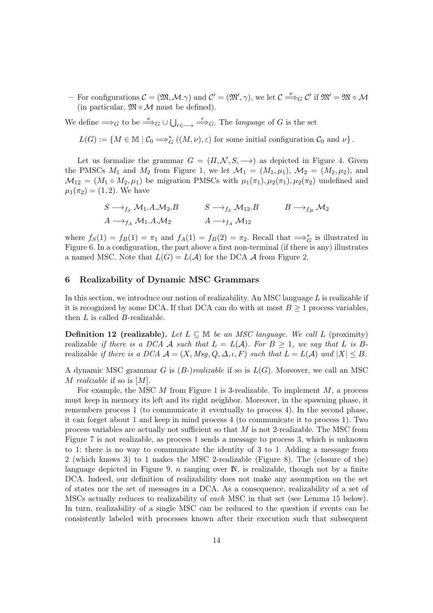- For configurations  $\mathcal{C} = (\mathfrak{M}, \mathcal{M}, \gamma)$  and  $\mathcal{C}' = (\mathfrak{M}', \gamma)$ , we let  $\mathcal{C} \stackrel{e}{\Longrightarrow}_G \mathcal{C}'$  if  $\mathfrak{M}' = \mathfrak{M} \circ \mathcal{M}$ (in particular,  $\mathfrak{M} \circ \mathcal{M}$  must be defined).

We define  $\Longrightarrow_G$  to be  $\stackrel{e}{\Longrightarrow}_G \cup \bigcup_{r \in \overline{S}} \stackrel{r}{\Longrightarrow}_G$ . The *language* of G is the set

 $L(G) := \{ M \in \mathbb{M} \mid C_0 \Longrightarrow_G^* ((M, \nu), \varepsilon) \text{ for some initial configuration } C_0 \text{ and } \nu \}.$ 

Let us formalize the grammar  $G = (I_1, N, S, \rightarrow)$  as depicted in Figure [4.](#page-11-0) Given the PMSCs  $M_1$  and  $M_2$  from Figure [1,](#page-6-1) we let  $\mathcal{M}_1 = (M_1, \mu_1), \mathcal{M}_2 = (M_2, \mu_2),$  and  $M_{12} = (M_1 \circ M_2, \mu_1)$  be migration PMSCs with  $\mu_1(\pi_1), \mu_2(\pi_1), \mu_2(\pi_2)$  undefined and  $\mu_1(\pi_2) = (1, 2)$ . We have

$$
S \longrightarrow_{f_S} M_1.A.M_2.B \qquad S \longrightarrow_{f_S} M_{12}.B \qquad B \longrightarrow_{f_B} M_2
$$
  

$$
A \longrightarrow_{f_A} M_1.A.M_2 \qquad A \longrightarrow_{f_A} M_{12}
$$

where  $f_S(1) = f_B(1) = \pi_1$  and  $f_A(1) = f_B(2) = \pi_2$ . Recall that  $\implies_G^*$  is illustrated in Figure [6.](#page-13-0) In a configuration, the part above a first non-terminal (if there is any) illustrates a named MSC. Note that  $L(G) = L(\mathcal{A})$  for the DCA  $\mathcal A$  from Figure [2.](#page-7-0)

#### <span id="page-14-0"></span>6 Realizability of Dynamic MSC Grammars

In this section, we introduce our notion of realizability. An MSC language  $L$  is realizable if it is recognized by some DCA. If that DCA can do with at most  $B \geq 1$  process variables, then  $L$  is called  $B$ -realizable.

**Definition 12 (realizable).** Let  $L \subseteq M$  be an MSC language. We call L (proximity) realizable if there is a DCA A such that  $L = L(\mathcal{A})$ . For  $B \geq 1$ , we say that L is Brealizable if there is a DCA  $A = (X, Msg, Q, \Delta, \iota, F)$  such that  $L = L(\mathcal{A})$  and  $|X| \leq B$ .

A dynamic MSC grammar G is  $(B-)realizable$  if so is  $L(G)$ . Moreover, we call an MSC M realizable if so is  $[M]$ .

For example, the MSC  $M$  from Figure [1](#page-6-1) is 3-realizable. To implement  $M$ , a process must keep in memory its left and its right neighbor. Moreover, in the spawning phase, it remembers process 1 (to communicate it eventually to process 4). In the second phase, it can forget about 1 and keep in mind process 4 (to communicate it to process 1). Two process variables are actually not sufficient so that  $M$  is not 2-realizable. The MSC from Figure [7](#page-15-0) is not realizable, as process 1 sends a message to process 3, which is unknown to 1: there is no way to communicate the identity of 3 to 1. Adding a message from 2 (which knows 3) to 1 makes the MSC 2-realizable (Figure [8\)](#page-15-1). The (closure of the) language depicted in Figure [9,](#page-15-2)  $n$  ranging over  $\mathbb{N}$ , is realizable, though not by a finite DCA. Indeed, our definition of realizability does not make any assumption on the set of states nor the set of messages in a DCA. As a consequence, realizability of a set of MSCs actually reduces to realizability of each MSC in that set (see Lemma [15](#page-17-0) below). In turn, realizability of a single MSC can be reduced to the question if events can be consistently labeled with processes known after their execution such that subsequent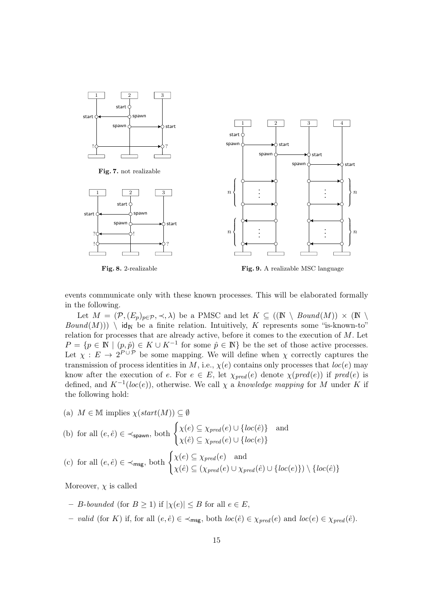<span id="page-15-0"></span>

<span id="page-15-1"></span>Fig. 8. 2-realizable

<span id="page-15-2"></span>Fig. 9. A realizable MSC language

events communicate only with these known processes. This will be elaborated formally in the following.

Let  $M = (\mathcal{P}, (E_p)_{p \in \mathcal{P}}, \prec, \lambda)$  be a PMSC and let  $K \subseteq ((\mathbb{N} \setminus Bound(M)) \times (\mathbb{N} \setminus$  $Bound(M))$ ) \ id<sub>N</sub> be a finite relation. Intuitively, K represents some "is-known-to" relation for processes that are already active, before it comes to the execution of  $M$ . Let  $P = \{p \in \mathbb{N} \mid (p, \hat{p}) \in K \cup K^{-1} \text{ for some } \hat{p} \in \mathbb{N}\}\$ be the set of those active processes. Let  $\chi : E \to 2^{P \cup P}$  be some mapping. We will define when  $\chi$  correctly captures the transmission of process identities in M, i.e.,  $\chi(e)$  contains only processes that  $loc(e)$  may know after the execution of e. For  $e \in E$ , let  $\chi_{pred}(e)$  denote  $\chi(pred(e))$  if  $pred(e)$  is defined, and  $K^{-1}(loc(e))$ , otherwise. We call  $\chi$  a *knowledge mapping* for M under K if the following hold:

(a)  $M \in \mathbb{M}$  implies  $\chi(start(M)) \subseteq \emptyset$ 

(b) for all 
$$
(e, \hat{e}) \in \prec_{\text{spawn}}
$$
, both  $\begin{cases} \chi(e) \subseteq \chi_{pred}(e) \cup \{loc(\hat{e})\} \\ \chi(\hat{e}) \subseteq \chi_{pred}(e) \cup \{loc(e)\} \end{cases}$  and

(c) for all 
$$
(e, \hat{e}) \in \prec_{\text{msg}}
$$
, both  $\begin{cases} \chi(e) \subseteq \chi_{pred}(e) \\ \chi(\hat{e}) \subseteq (\chi_{pred}(e) \cup \chi_{pred}(\hat{e}) \cup \{loc(e)\}) \setminus \{loc(\hat{e})\} \end{cases}$ 

Moreover,  $\chi$  is called

- *B*-bounded (for *B* ≥ 1) if  $|\chi(e)|$  ≤ *B* for all  $e \in E$ ,
- valid (for K) if, for all  $(e, \hat{e}) \in \prec_{\sf msg}$ , both  $loc(\hat{e}) \in \chi_{pred}(e)$  and  $loc(e) \in \chi_{pred}(\hat{e})$ .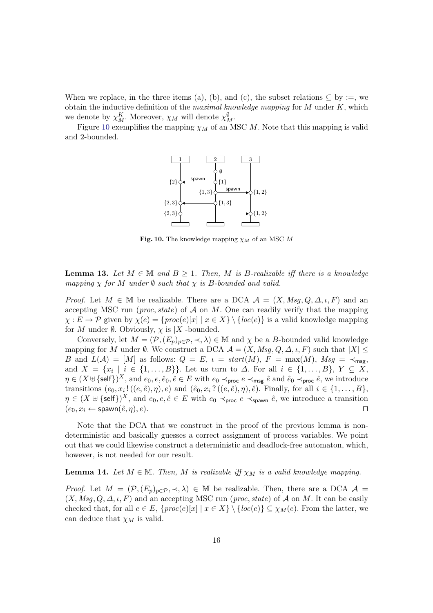When we replace, in the three items (a), (b), and (c), the subset relations  $\subseteq$  by :=, we obtain the inductive definition of the *maximal knowledge mapping* for  $M$  under  $K$ , which we denote by  $\chi_M^K$ . Moreover,  $\chi_M$  will denote  $\chi_M^{\emptyset}$ .

Figure [10](#page-16-0) exemplifies the mapping  $\chi_M$  of an MSC  $M$ . Note that this mapping is valid and 2-bounded.



<span id="page-16-0"></span>Fig. 10. The knowledge mapping  $\chi_M$  of an MSC M

<span id="page-16-1"></span>**Lemma 13.** Let  $M \in \mathbb{M}$  and  $B \geq 1$ . Then, M is B-realizable iff there is a knowledge mapping  $\chi$  for M under  $\emptyset$  such that  $\chi$  is B-bounded and valid.

*Proof.* Let  $M \in \mathbb{M}$  be realizable. There are a DCA  $\mathcal{A} = (X, Msq, Q, \Delta, \iota, F)$  and an accepting MSC run (*proc*, *state*) of  $A$  on  $M$ . One can readily verify that the mapping  $\chi : E \to \mathcal{P}$  given by  $\chi(e) = \{proc(e)[x] | x \in X\} \setminus \{loc(e)\}\$ is a valid knowledge mapping for  $M$  under  $\emptyset$ . Obviously,  $\chi$  is |X|-bounded.

Conversely, let  $M = (\mathcal{P}, (E_p)_{p \in \mathcal{P}}, \prec, \lambda) \in \mathbb{M}$  and  $\chi$  be a *B*-bounded valid knowledge mapping for M under Ø. We construct a DCA  $A = (X, Msg, Q, \Delta, \iota, F)$  such that  $|X| \leq$ B and  $L(\mathcal{A}) = [M]$  as follows:  $Q = E$ ,  $\iota = start(M)$ ,  $F = \max(M)$ ,  $Msg = \prec_{\text{msg}}$ , and  $X = \{x_i \mid i \in \{1, \ldots, B\}\}\.$  Let us turn to  $\Delta$ . For all  $i \in \{1, \ldots, B\}, Y \subseteq X$ ,  $\eta \in (X \uplus {\{\text{self}\}})^X$ , and  $e_0, e, \hat{e}_0, \hat{e} \in E$  with  $e_0 \prec_{\text{proc}} e \prec_{\text{msg}} \hat{e}$  and  $\hat{e}_0 \prec_{\text{proc}} \hat{e}$ , we introduce transitions  $(e_0, x_i!((e, \hat{e}), \eta), e)$  and  $(\hat{e}_0, x_i?((e, \hat{e}), \eta), \hat{e})$ . Finally, for all  $i \in \{1, ..., B\}$ ,  $\eta \in (X \oplus {\{\text{self}\}})^X$ , and  $e_0, e, \hat{e} \in E$  with  $e_0 \prec_{\text{proc}} e \prec_{\text{spawn}} \hat{e}$ , we introduce a transition  $(e_0, x_i \leftarrow \mathsf{spawn}(\hat{e}, \eta), e).$ 

Note that the DCA that we construct in the proof of the previous lemma is nondeterministic and basically guesses a correct assignment of process variables. We point out that we could likewise construct a deterministic and deadlock-free automaton, which, however, is not needed for our result.

#### <span id="page-16-2"></span>**Lemma 14.** Let  $M \in \mathbb{M}$ . Then, M is realizable iff  $\chi_M$  is a valid knowledge mapping.

*Proof.* Let  $M = (\mathcal{P}, (E_p)_{p \in \mathcal{P}}, \prec, \lambda) \in \mathbb{M}$  be realizable. Then, there are a DCA  $\mathcal{A} =$  $(X, Msg, Q, \Delta, \iota, F)$  and an accepting MSC run (*proc*, *state*) of A on M. It can be easily checked that, for all  $e \in E$ ,  $\{proc(e)[x] | x \in X\} \setminus \{loc(e)\} \subseteq \chi_M(e)$ . From the latter, we can deduce that  $\chi_M$  is valid.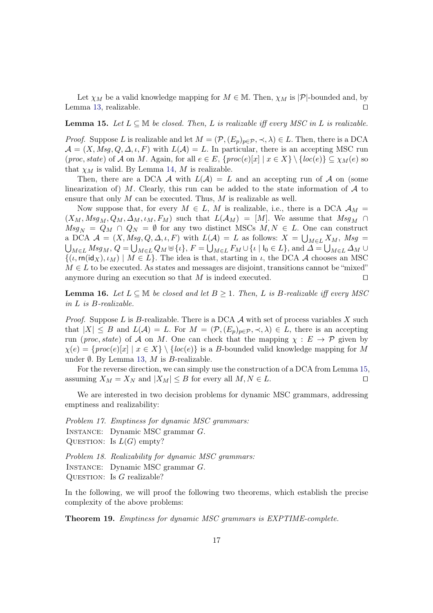Let  $\chi_M$  be a valid knowledge mapping for  $M \in \mathbb{M}$ . Then,  $\chi_M$  is  $|\mathcal{P}|$ -bounded and, by Lemma [13,](#page-16-1) realizable. ⊓⊔

#### <span id="page-17-0"></span>**Lemma 15.** Let  $L \subseteq \mathbb{M}$  be closed. Then, L is realizable iff every MSC in L is realizable.

*Proof.* Suppose L is realizable and let  $M = (\mathcal{P}, (E_p)_{p \in \mathcal{P}}, \prec, \lambda) \in L$ . Then, there is a DCA  $\mathcal{A} = (X, Msg, Q, \Delta, \iota, F)$  with  $L(\mathcal{A}) = L$ . In particular, there is an accepting MSC run  $(proc, state)$  of A on M. Again, for all  $e \in E$ ,  $\{proc(e)[x] | x \in X\} \setminus \{loc(e)\} \subseteq \chi_M(e)$  so that  $\chi_M$  is valid. By Lemma [14,](#page-16-2) M is realizable.

Then, there are a DCA  $\mathcal A$  with  $L(\mathcal A) = L$  and an accepting run of  $\mathcal A$  on (some linearization of) M. Clearly, this run can be added to the state information of  $A$  to ensure that only  $M$  can be executed. Thus,  $M$  is realizable as well.

Now suppose that, for every  $M \in L$ , M is realizable, i.e., there is a DCA  $\mathcal{A}_M$  =  $(X_M, Msg_M, Q_M, \Delta_M, \iota_M, F_M)$  such that  $L(\mathcal{A}_M) = [M]$ . We assume that  $Msg_M \cap$  $Msg_N = Q_M \cap Q_N = \emptyset$  for any two distinct MSCs  $M, N \in L$ . One can construct a DCA  $\mathcal{A} = (X, Msg, Q, \Delta, \iota, F)$  with  $L(\mathcal{A}) = L$  as follows:  $X = \bigcup_{M \in L} X_M$ ,  $Msg =$ <br> $\bigcup_{M \in L} Msg_M$ ,  $Q = \bigcup_{M \in L} Q_M \uplus {\iota} \setminus$ ,  $F = \bigcup_{M \in L} F_M \cup {\iota} \setminus {\iota}$ , and  $\Delta = \bigcup_{M \in L} \Delta_M \cup$  ${}_{M\in L}$   $Msg_M$ ,  $Q = \bigcup_{M\in L} Q_M \oplus \{\iota\}$ ,  $F = \bigcup_{M\in L} F_M \cup \{\iota \mid \iota_0 \in L\}$ , and  $\Delta = \bigcup_{M\in L} \Delta_M \cup \{\iota_0 \mid \iota_0 \in L\}$  $\{(\iota, \text{rn}(\text{id}_X), \iota_M) \mid M \in L\}$ . The idea is that, starting in  $\iota$ , the DCA A chooses an MSC  $M \in L$  to be executed. As states and messages are disjoint, transitions cannot be "mixed" anymore during an execution so that  $M$  is indeed executed. □

<span id="page-17-2"></span>**Lemma 16.** Let  $L \subseteq \mathbb{M}$  be closed and let  $B \geq 1$ . Then, L is B-realizable iff every MSC in  $L$  is  $B$ -realizable.

*Proof.* Suppose L is B-realizable. There is a DCA  $\mathcal A$  with set of process variables X such that  $|X| \leq B$  and  $L(\mathcal{A}) = L$ . For  $M = (\mathcal{P}, (E_p)_{p \in \mathcal{P}}, \prec, \lambda) \in L$ , there is an accepting run (proc, state) of A on M. One can check that the mapping  $\chi : E \to \mathcal{P}$  given by  $\chi(e) = \{proc(e)[x] \mid x \in X\} \setminus \{loc(e)\}\$ is a B-bounded valid knowledge mapping for M under  $\emptyset$ . By Lemma [13,](#page-16-1) M is B-realizable.

For the reverse direction, we can simply use the construction of a DCA from Lemma [15,](#page-17-0) assuming  $X_M = X_N$  and  $|X_M| \leq B$  for every all  $M, N \in L$ .

We are interested in two decision problems for dynamic MSC grammars, addressing emptiness and realizability:

Problem 17. Emptiness for dynamic MSC grammars:

INSTANCE: Dynamic MSC grammar G.

QUESTION: Is  $L(G)$  empty?

Problem 18. Realizability for dynamic MSC grammars:

INSTANCE: Dynamic MSC grammar G.

QUESTION: Is  $G$  realizable?

<span id="page-17-1"></span>In the following, we will proof the following two theorems, which establish the precise complexity of the above problems:

Theorem 19. Emptiness for dynamic MSC grammars is EXPTIME-complete.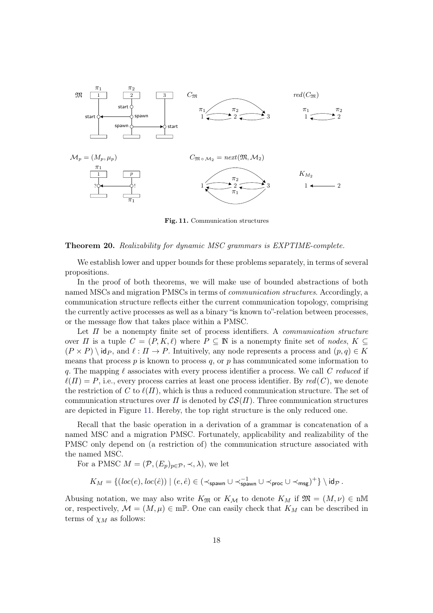

<span id="page-18-0"></span>Fig. 11. Communication structures

#### <span id="page-18-2"></span>Theorem 20. Realizability for dynamic MSC grammars is EXPTIME-complete.

We establish lower and upper bounds for these problems separately, in terms of several propositions.

In the proof of both theorems, we will make use of bounded abstractions of both named MSCs and migration PMSCs in terms of communication structures. Accordingly, a communication structure reflects either the current communication topology, comprising the currently active processes as well as a binary "is known to"-relation between processes, or the message flow that takes place within a PMSC.

Let  $\Pi$  be a nonempty finite set of process identifiers. A *communication structure* over  $\Pi$  is a tuple  $C = (P, K, \ell)$  where  $P \subseteq \mathbb{N}$  is a nonempty finite set of nodes,  $K \subseteq$  $(P \times P) \id_P$ , and  $\ell : \Pi \to P$ . Intuitively, any node represents a process and  $(p, q) \in K$ means that process  $p$  is known to process  $q$ , or  $p$  has communicated some information to q. The mapping  $\ell$  associates with every process identifier a process. We call C reduced if  $\ell(\Pi) = P$ , i.e., every process carries at least one process identifier. By red(C), we denote the restriction of C to  $\ell(\Pi)$ , which is thus a reduced communication structure. The set of communication structures over  $\Pi$  is denoted by  $\mathcal{CS}(\Pi)$ . Three communication structures are depicted in Figure [11.](#page-18-0) Hereby, the top right structure is the only reduced one.

Recall that the basic operation in a derivation of a grammar is concatenation of a named MSC and a migration PMSC. Fortunately, applicability and realizability of the PMSC only depend on (a restriction of) the communication structure associated with the named MSC.

For a PMSC  $M = (\mathcal{P}, (E_p)_{p \in \mathcal{P}}, \prec, \lambda)$ , we let

<span id="page-18-1"></span>
$$
K_M = \{ (\mathit{loc}(e), \mathit{loc}(\hat{e})) \mid (e, \hat{e}) \in (\prec_{\mathsf{spawn}} \cup \prec_{\mathsf{spawn}}^{-1} \cup \prec_{\mathsf{proc}} \cup \prec_{\mathsf{msg}})^+ \} \setminus \mathsf{id}_{\mathcal{P}}.
$$

Abusing notation, we may also write  $K_{\mathfrak{M}}$  or  $K_{\mathcal{M}}$  to denote  $K_M$  if  $\mathfrak{M} = (M, \nu) \in \mathfrak{m}$ or, respectively,  $\mathcal{M} = (M, \mu) \in \mathbb{m} \mathbb{P}$ . One can easily check that  $K_M$  can be described in terms of  $\chi_M$  as follows: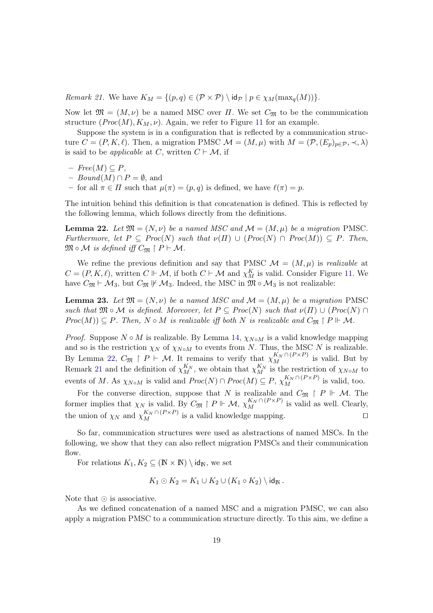Remark 21. We have  $K_M = \{(p,q) \in (\mathcal{P} \times \mathcal{P}) \setminus \text{id}_{\mathcal{P}} \mid p \in \chi_M(\max_a(M))\}.$ 

Now let  $\mathfrak{M} = (M, \nu)$  be a named MSC over  $\Pi$ . We set  $C_{\mathfrak{M}}$  to be the communication structure  $(Proc(M), K_M, \nu)$ . Again, we refer to Figure [11](#page-18-0) for an example.

Suppose the system is in a configuration that is reflected by a communication structure  $C = (P, K, \ell)$ . Then, a migration PMSC  $\mathcal{M} = (M, \mu)$  with  $M = (\mathcal{P}, (E_p)_{p \in \mathcal{P}}, \prec, \lambda)$ is said to be *applicable* at C, written  $C \vdash M$ , if

- $\, Free(M) \subseteq P$ ,
- $Bound(M) \cap P = \emptyset$ , and
- <span id="page-19-0"></span>– for all  $\pi \in \Pi$  such that  $\mu(\pi) = (p, q)$  is defined, we have  $\ell(\pi) = p$ .

The intuition behind this definition is that concatenation is defined. This is reflected by the following lemma, which follows directly from the definitions.

**Lemma 22.** Let  $\mathfrak{M} = (N, \nu)$  be a named MSC and  $\mathcal{M} = (M, \mu)$  be a migration PMSC. Furthermore, let  $P \subseteq Proc(N)$  such that  $\nu(\Pi) \cup (Proc(N) \cap Proc(M)) \subseteq P$ . Then,  $\mathfrak{M} \circ \mathcal{M}$  is defined iff  $C_{\mathfrak{M}} \upharpoonright P \vdash \mathcal{M}$ .

We refine the previous definition and say that PMSC  $\mathcal{M} = (M, \mu)$  is realizable at  $C = (P, K, \ell)$ , written  $C \Vdash \mathcal{M}$ , if both  $C \vdash \mathcal{M}$  and  $\chi_M^K$  is valid. Consider Figure [11.](#page-18-0) We have  $C_{\mathfrak{M}} \vdash \mathcal{M}_3$ , but  $C_{\mathfrak{M}} \not\Vdash \mathcal{M}_3$ . Indeed, the MSC in  $\mathfrak{M} \circ \mathcal{M}_3$  is not realizable:

<span id="page-19-1"></span>**Lemma 23.** Let  $\mathfrak{M} = (N, \nu)$  be a named MSC and  $\mathcal{M} = (M, \mu)$  be a migration PMSC such that  $\mathfrak{M} \circ \mathcal{M}$  is defined. Moreover, let  $P \subseteq Proc(N)$  such that  $\nu(\Pi) \cup (Proc(N) \cap$  $Proc(M)) \subseteq P$ . Then,  $N \circ M$  is realizable iff both  $N$  is realizable and  $C_{\mathfrak{M}} \upharpoonright P \Vdash M$ .

*Proof.* Suppose  $N \circ M$  is realizable. By Lemma [14,](#page-16-2)  $\chi_{N \circ M}$  is a valid knowledge mapping and so is the restriction  $\chi_N$  of  $\chi_{N \circ M}$  to events from N. Thus, the MSC N is realizable. By Lemma [22,](#page-19-0)  $C_{\mathfrak{M}} \upharpoonright P \vdash \mathcal{M}$ . It remains to verify that  $\chi_M^{K_N \cap (P \times P)}$  is valid. But by Remark [21](#page-18-1) and the definition of  $\chi_{M}^{K_N}$ , we obtain that  $\chi_{M}^{K_N}$  is the restriction of  $\chi_{N \circ M}$  to events of M. As  $\chi_{N\circ M}$  is valid and  $Proc(N) \cap Proc(M) \subseteq P$ ,  $\chi_M^{K_N \cap (P \times P)}$  is valid, too.

For the converse direction, suppose that N is realizable and  $C_{\mathfrak{M}} \restriction P \Vdash \mathcal{M}$ . The former implies that  $\chi_N$  is valid. By  $C_{\mathfrak{M}} \upharpoonright P \Vdash \mathcal{M}, \chi_M^{K_N \cap (P \times P)}$  is valid as well. Clearly, the union of  $\chi_N$  and  $\chi_M^{K_N \cap (P \times P)}$  is a valid knowledge mapping.  $\Box$ 

So far, communication structures were used as abstractions of named MSCs. In the following, we show that they can also reflect migration PMSCs and their communication flow.

For relations  $K_1, K_2 \subseteq (\mathbb{N} \times \mathbb{N}) \setminus id_{\mathbb{N}}$ , we set

$$
K_1 \odot K_2 = K_1 \cup K_2 \cup (K_1 \circ K_2) \setminus \mathsf{id}_{\mathbb{N}}.
$$

Note that ⊙ is associative.

As we defined concatenation of a named MSC and a migration PMSC, we can also apply a migration PMSC to a communication structure directly. To this aim, we define a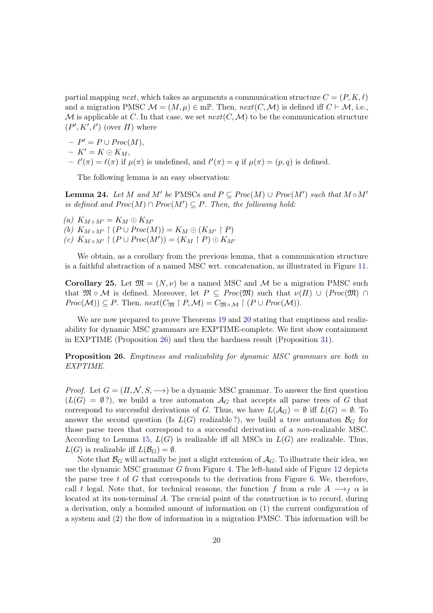partial mapping next, which takes as arguments a communication structure  $C = (P, K, \ell)$ and a migration PMSC  $\mathcal{M} = (M, \mu) \in \text{mP}$ . Then,  $next(C, \mathcal{M})$  is defined iff  $C \vdash \mathcal{M}$ , i.e., M is applicable at C. In that case, we set  $next(C, M)$  to be the communication structure  $(P', K', \ell')$  (over  $\Pi$ ) where

 $-P' = P \cup Proc(M),$  $- K' = K \odot K_M,$  $-\ell'(\pi) = \ell(\pi)$  if  $\mu(\pi)$  is undefined, and  $\ell'(\pi) = q$  if  $\mu(\pi) = (p, q)$  is defined.

<span id="page-20-1"></span>The following lemma is an easy observation:

**Lemma 24.** Let M and M' be PMSCs and  $P \subseteq Proc(M) \cup Proc(M')$  such that  $M \circ M'$ is defined and  $Proc(M) \cap Proc(M') \subseteq P$ . Then, the following hold:

(a)  $K_{M \circ M'} = K_M \odot K_{M'}$ (b)  $K_{M \circ M'} \upharpoonright (P \cup Proc(M)) = K_M \odot (K_{M'} \upharpoonright P)$ (c)  $K_{M \circ M'} \upharpoonright (P \cup Proc(M')) = (K_M \upharpoonright P) \odot K_{M'}$ 

<span id="page-20-2"></span>We obtain, as a corollary from the previous lemma, that a communication structure is a faithful abstraction of a named MSC wrt. concatenation, as illustrated in Figure [11.](#page-18-0)

Corollary 25. Let  $\mathfrak{M} = (N, \nu)$  be a named MSC and M be a migration PMSC such that  $\mathfrak{M} \circ \mathcal{M}$  is defined. Moreover, let  $P \subseteq Proc(\mathfrak{M})$  such that  $\nu(\Pi) \cup (Proc(\mathfrak{M}) \cap$  $Proc(\mathcal{M})) \subseteq P$ . Then,  $next(C_{\mathfrak{M}} \upharpoonright P, \mathcal{M}) = C_{\mathfrak{M} \circ \mathcal{M}} \upharpoonright (P \cup Proc(\mathcal{M}))$ .

We are now prepared to prove Theorems [19](#page-17-1) and [20](#page-18-2) stating that emptiness and realizability for dynamic MSC grammars are EXPTIME-complete. We first show containment in EXPTIME (Proposition [26\)](#page-20-0) and then the hardness result (Proposition [31\)](#page-29-0).

<span id="page-20-0"></span>**Proposition 26.** Emptiness and realizability for dynamic MSC grammars are both in EXPTIME.

*Proof.* Let  $G = (\Pi, \mathcal{N}, S, \rightarrow)$  be a dynamic MSC grammar. To answer the first question  $(L(G) = \emptyset$ ?), we build a tree automaton  $\mathcal{A}_G$  that accepts all parse trees of G that correspond to successful derivations of G. Thus, we have  $L(\mathcal{A}_G) = \emptyset$  iff  $L(G) = \emptyset$ . To answer the second question (Is  $L(G)$  realizable ?), we build a tree automaton  $\mathcal{B}_G$  for those parse trees that correspond to a successful derivation of a non-realizable MSC. According to Lemma [15,](#page-17-0)  $L(G)$  is realizable iff all MSCs in  $L(G)$  are realizable. Thus,  $L(G)$  is realizable iff  $L(\mathcal{B}_G) = \emptyset$ .

Note that  $\mathcal{B}_G$  will actually be just a slight extension of  $\mathcal{A}_G$ . To illustrate their idea, we use the dynamic MSC grammar  $G$  from Figure [4.](#page-11-0) The left-hand side of Figure [12](#page-21-0) depicts the parse tree  $t$  of  $G$  that corresponds to the derivation from Figure [6.](#page-13-0) We, therefore, call t legal. Note that, for technical reasons, the function f from a rule  $A \rightarrow f \alpha$  is located at its non-terminal A. The crucial point of the construction is to record, during a derivation, only a bounded amount of information on (1) the current configuration of a system and (2) the flow of information in a migration PMSC. This information will be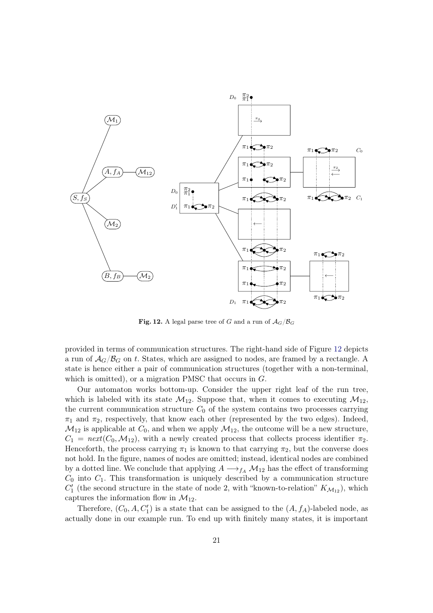

<span id="page-21-0"></span>Fig. 12. A legal parse tree of G and a run of  $A_G/\mathcal{B}_G$ 

provided in terms of communication structures. The right-hand side of Figure [12](#page-21-0) depicts a run of  $A_G/\mathcal{B}_G$  on t. States, which are assigned to nodes, are framed by a rectangle. A state is hence either a pair of communication structures (together with a non-terminal, which is omitted), or a migration PMSC that occurs in  $G$ .

Our automaton works bottom-up. Consider the upper right leaf of the run tree, which is labeled with its state  $\mathcal{M}_{12}$ . Suppose that, when it comes to executing  $\mathcal{M}_{12}$ , the current communication structure  $C_0$  of the system contains two processes carrying  $\pi_1$  and  $\pi_2$ , respectively, that know each other (represented by the two edges). Indeed,  $M_{12}$  is applicable at  $C_0$ , and when we apply  $M_{12}$ , the outcome will be a new structure,  $C_1 = \text{next}(C_0, \mathcal{M}_{12})$ , with a newly created process that collects process identifier  $\pi_2$ . Henceforth, the process carrying  $\pi_1$  is known to that carrying  $\pi_2$ , but the converse does not hold. In the figure, names of nodes are omitted; instead, identical nodes are combined by a dotted line. We conclude that applying  $A \longrightarrow_{f_A} M_{12}$  has the effect of transforming  $C_0$  into  $C_1$ . This transformation is uniquely described by a communication structure  $C'_{1}$  (the second structure in the state of node 2, with "known-to-relation"  $K_{\mathcal{M}_{12}}$ ), which captures the information flow in  $\mathcal{M}_{12}$ .

Therefore,  $(C_0, A, C'_1)$  is a state that can be assigned to the  $(A, f_A)$ -labeled node, as actually done in our example run. To end up with finitely many states, it is important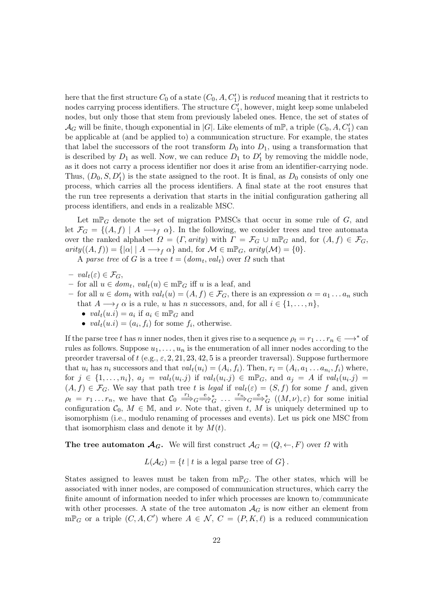here that the first structure  $C_0$  of a state  $(C_0, A, C'_1)$  is *reduced* meaning that it restricts to nodes carrying process identifiers. The structure  $C'_{1}$ , however, might keep some unlabeled nodes, but only those that stem from previously labeled ones. Hence, the set of states of  $\mathcal{A}_G$  will be finite, though exponential in |G|. Like elements of m<sup>p</sup>, a triple  $(C_0, A, C'_1)$  can be applicable at (and be applied to) a communication structure. For example, the states that label the successors of the root transform  $D_0$  into  $D_1$ , using a transformation that is described by  $D_1$  as well. Now, we can reduce  $D_1$  to  $D'_1$  by removing the middle node, as it does not carry a process identifier nor does it arise from an identifier-carrying node. Thus,  $(D_0, S, D'_1)$  is the state assigned to the root. It is final, as  $D_0$  consists of only one process, which carries all the process identifiers. A final state at the root ensures that the run tree represents a derivation that starts in the initial configuration gathering all process identifiers, and ends in a realizable MSC.

Let  $\mathbf{m}\mathbb{P}_G$  denote the set of migration PMSCs that occur in some rule of G, and let  $\mathcal{F}_G = \{(A, f) \mid A \longrightarrow_f \alpha\}$ . In the following, we consider trees and tree automata over the ranked alphabet  $\Omega = (\Gamma, \text{arity})$  with  $\Gamma = \mathcal{F}_G \cup \text{mP}_G$  and, for  $(A, f) \in \mathcal{F}_G$ ,  $arity((A, f)) = {\vert \alpha \vert \vert A \rightarrow_{f} \alpha} \text{ and, for } M \in m\mathbb{P}_{G},$   $arity(M) = \lbrace 0 \rbrace.$ 

A parse tree of G is a tree  $t = (dom_t, val_t)$  over  $\Omega$  such that

- $val_t(\varepsilon) \in \mathcal{F}_G,$
- $-$  for all  $u \in dom_t$ ,  $val_t(u) \in m\mathbb{P}_G$  iff  $u$  is a leaf, and
- for all  $u \in dom_t$  with  $val_t(u) = (A, f) \in \mathcal{F}_G$ , there is an expression  $\alpha = a_1 \dots a_n$  such that  $A \longrightarrow_f \alpha$  is a rule, u has n successors, and, for all  $i \in \{1, \ldots, n\}$ ,
	- $val_t(u.i) = a_i$  if  $a_i \in m\mathbb{P}_G$  and
	- $val_t(u.i) = (a_i, f_i)$  for some  $f_i$ , otherwise.

If the parse tree t has n inner nodes, then it gives rise to a sequence  $\rho_t = r_1 \dots r_n \in \longrightarrow^*$  of rules as follows. Suppose  $u_1, \ldots, u_n$  is the enumeration of all inner nodes according to the preorder traversal of t (e.g.,  $\varepsilon$ , 2, 21, 23, 42, 5 is a preorder traversal). Suppose furthermore that  $u_i$  has  $n_i$  successors and that  $val_t(u_i) = (A_i, f_i)$ . Then,  $r_i = (A_i, a_1 \ldots a_{n_i}, f_i)$  where, for  $j \in \{1, ..., n_i\}$ ,  $a_j = val_t(u_i.j)$  if  $val_t(u_i.j) \in m\mathbb{P}_G$ , and  $a_j = A$  if  $val_t(u_i.j) =$  $(A, f) \in \mathcal{F}_G$ . We say that path tree t is legal if  $val_t(\varepsilon) = (S, f)$  for some f and, given  $\rho_t = r_1 \dots r_n$ , we have that  $\mathcal{C}_0 \stackrel{r_1}{\Longrightarrow}_G \stackrel{e}{\Longrightarrow}_G^* \dots \stackrel{r_n}{\Longrightarrow}_G \stackrel{e}{\Longrightarrow}_G^* ((M, \nu), \varepsilon)$  for some initial configuration  $\mathcal{C}_0$ ,  $M \in \mathbb{M}$ , and  $\nu$ . Note that, given t, M is uniquely determined up to isomorphism (i.e., modulo renaming of processes and events). Let us pick one MSC from that isomorphism class and denote it by  $M(t)$ .

The tree automaton  $\mathcal{A}_G$ . We will first construct  $\mathcal{A}_G = (Q, \leftarrow, F)$  over  $\Omega$  with

 $L(\mathcal{A}_G) = \{t \mid t \text{ is a legal parse tree of } G\}.$ 

States assigned to leaves must be taken from  $m\mathbb{P}_G$ . The other states, which will be associated with inner nodes, are composed of communication structures, which carry the finite amount of information needed to infer which processes are known to/communicate with other processes. A state of the tree automaton  $\mathcal{A}_G$  is now either an element from  $m\mathbb{P}_G$  or a triple  $(C, A, C')$  where  $A \in \mathcal{N}$ ,  $C = (P, K, \ell)$  is a reduced communication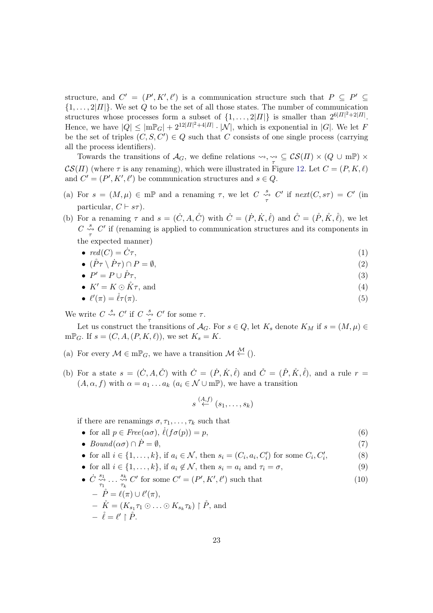structure, and  $C' = (P', K', \ell')$  is a communication structure such that  $P \subseteq P' \subseteq$  $\{1, \ldots, 2|H|\}$ . We set Q to be the set of all those states. The number of communication structures whose processes form a subset of  $\{1, \ldots, 2|\Pi|\}$  is smaller than  $2^{6|\Pi|^2 + 2|\Pi|}$ . Hence, we have  $|Q| \leq |\text{mP}_G| + 2^{12|H|^2 + 4|H|} \cdot |\mathcal{N}|$ , which is exponential in |G|. We let F be the set of triples  $(C, S, C') \in Q$  such that C consists of one single process (carrying all the process identifiers).

Towards the transitions of  $\mathcal{A}_G$ , we define relations  $\leadsto, \underset{\tau}{\leadsto} \subseteq \mathcal{CS}(\Pi) \times (Q \cup \text{mP}) \times$  $\mathcal{CS}(\Pi)$  (where  $\tau$  is any renaming), which were illustrated in Figure [12.](#page-21-0) Let  $C = (P, K, \ell)$ and  $C' = (P', K', \ell')$  be communication structures and  $s \in Q$ .

- (a) For  $s = (M, \mu) \in \mathbb{m} \mathbb{P}$  and a renaming  $\tau$ , we let  $C \underset{\tau}{\overset{s}{\leadsto}} C'$  if  $next(C, s\tau) = C'$  (in particular,  $C \vdash s\tau$ .
- (b) For a renaming  $\tau$  and  $s = (\dot{C}, A, \dot{C})$  with  $\dot{C} = (\dot{P}, \dot{K}, \dot{\ell})$  and  $\dot{C} = (\dot{P}, \dot{K}, \dot{\ell})$ , we let  $C \underset{\tau}{\rightarrow} C'$  if (renaming is applied to communication structures and its components in the expected manner)
	- $red(C) = \dot{C}\tau$ , ,  $(1)$
	- $(\mathring{P}\tau \setminus \dot{P}\tau) \cap P = \emptyset,$  (2)

• 
$$
P' = P \cup \mathring{P}\tau,
$$
 (3)

•  $K' = K \odot \mathring{K}\tau$ , and (4)

• 
$$
\ell'(\pi) = \mathring{\ell}\tau(\pi). \tag{5}
$$

We write  $C \stackrel{s}{\rightsquigarrow} C'$  if  $C \stackrel{s}{\rightsquigarrow} C'$  for some  $\tau$ .

Let us construct the transitions of  $\mathcal{A}_G$ . For  $s \in Q$ , let  $K_s$  denote  $K_M$  if  $s = (M, \mu) \in$  $m\mathbb{P}_G$ . If  $s=(C, A, (P, K, \ell))$ , we set  $K_s=K$ .

- (a) For every  $\mathcal{M} \in \mathrm{m} \mathbb{P}_G$ , we have a transition  $\mathcal{M} \stackrel{\mathcal{M}}{\leftarrow}$  ().
- (b) For a state  $s = (\dot{C}, A, \dot{C})$  with  $\dot{C} = (\dot{P}, \dot{K}, \dot{\ell})$  and  $\dot{C} = (\dot{P}, \dot{K}, \dot{\ell})$ , and a rule  $r =$  $(A, \alpha, f)$  with  $\alpha = a_1 \dots a_k$   $(a_i \in \mathcal{N} \cup m\mathbb{P})$ , we have a transition

$$
s \stackrel{(A,f)}{\leftarrow} (s_1, \ldots, s_k)
$$

if there are renamings  $\sigma, \tau_1, \ldots, \tau_k$  such that

- for all  $p \in Free(\alpha \sigma)$ ,  $\ell(f \sigma(p)) = p$ , (6)
- $Bound(\alpha \sigma) \cap \dot{P} = \emptyset,$  (7)
- for all  $i \in \{1, ..., k\}$ , if  $a_i \in \mathcal{N}$ , then  $s_i = (C_i, a_i, C'_i)$  for some  $C_i, C'_i$ , (8)
- for all  $i \in \{1, ..., k\}$ , if  $a_i \notin \mathcal{N}$ , then  $s_i = a_i$  and  $\tau_i = \sigma$ , (9)
- $\bullet$   $\dot{C} \overset{s_1}{\leadsto}$  $s_1 \leftrightarrow s_k$ <br> $\tau_1 \cdot \cdot \cdot \cdot \tau_k$  $\sum_{\tau_k}^{\mathcal{S}_k} C'$  for some  $C' = (P', K', \ell')$  such that (10)
	- $-\dot{P} = \ell(\pi) \cup \ell'(\pi),$
	- $\hat{K} = (K_{s_1} \tau_1 \odot \ldots \odot K_{s_k} \tau_k) \upharpoonright \hat{P}$ , and  $- \ell = \ell' \restriction \mathring{P}.$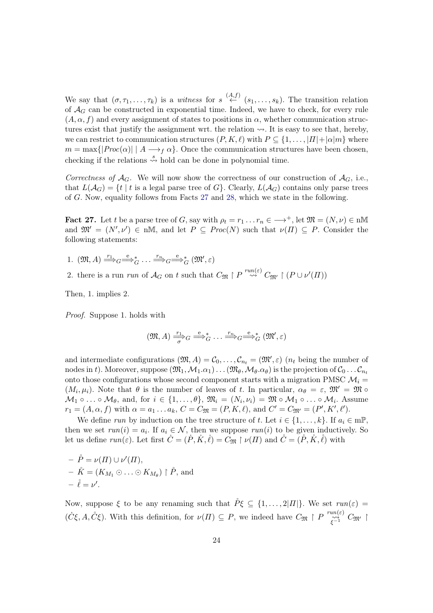We say that  $(\sigma, \tau_1, \ldots, \tau_k)$  is a witness for  $s \stackrel{(A,f)}{\leftarrow} (s_1, \ldots, s_k)$ . The transition relation of  $\mathcal{A}_G$  can be constructed in exponential time. Indeed, we have to check, for every rule  $(A, \alpha, f)$  and every assignment of states to positions in  $\alpha$ , whether communication structures exist that justify the assignment wrt. the relation  $\sim$ . It is easy to see that, hereby, we can restrict to communication structures  $(P, K, \ell)$  with  $P \subseteq \{1, \ldots, |H| + |\alpha|m\}$  where  $m = \max\{|Proc(\alpha)| | A \rightarrow_{f} \alpha\}$ . Once the communication structures have been chosen, checking if the relations  $\stackrel{s}{\leadsto}$  hold can be done in polynomial time.

<span id="page-24-0"></span>Correctness of  $A_G$ . We will now show the correctness of our construction of  $A_G$ , i.e., that  $L(\mathcal{A}_G) = \{t \mid t \text{ is a legal parse tree of } G\}$ . Clearly,  $L(\mathcal{A}_G)$  contains only parse trees of  $G$ . Now, equality follows from Facts [27](#page-24-0) and [28,](#page-25-0) which we state in the following.

**Fact 27.** Let t be a parse tree of G, say with  $\rho_t = r_1 \dots r_n \in \longrightarrow^+$ , let  $\mathfrak{M} = (N, \nu) \in \mathfrak{n} \mathbb{M}$ and  $\mathfrak{M}' = (N', \nu') \in \mathfrak{n} \mathbb{M}$ , and let  $P \subseteq Proc(N)$  such that  $\nu(\Pi) \subseteq P$ . Consider the following statements:

1.  $(\mathfrak{M}, A) \stackrel{r_1}{\Longrightarrow}_G \stackrel{e}{\Longrightarrow}_G^* \ldots \stackrel{r_n}{\Longrightarrow}_G \stackrel{e}{\Longrightarrow}_G^* (\mathfrak{M}', \varepsilon)$ 

2. there is a run *run* of  $\mathcal{A}_G$  on t such that  $C_{\mathfrak{M}} \upharpoonright P \stackrel{run(\varepsilon)}{\leadsto} C_{\mathfrak{M}'} \upharpoonright (P \cup \nu'(H))$ 

Then, 1. implies 2.

Proof. Suppose 1. holds with

$$
(\mathfrak{M}, A) \xrightarrow[\sigma]{r_1} G \xrightarrow{\mathbf{e}} G \cdots \xrightarrow{r_n} G \xrightarrow{\mathbf{e}} G (\mathfrak{M}', \varepsilon)
$$

and intermediate configurations  $(\mathfrak{M}, A) = \mathcal{C}_0, \ldots, \mathcal{C}_{n_t} = (\mathfrak{M}', \varepsilon)$  ( $n_t$  being the number of nodes in t). Moreover, suppose  $(\mathfrak{M}_1,\mathcal{M}_1.\alpha_1)\dots(\mathfrak{M}_\theta,\mathcal{M}_\theta.\alpha_\theta)$  is the projection of  $\mathcal{C}_0 \dots \mathcal{C}_{n_t}$ onto those configurations whose second component starts with a migration PMSC  $\mathcal{M}_i$  =  $(M_i, \mu_i)$ . Note that  $\theta$  is the number of leaves of t. In particular,  $\alpha_{\theta} = \varepsilon$ ,  $\mathfrak{M}' = \mathfrak{M} \circ \theta$  $M_1 \circ \ldots \circ M_\theta$ , and, for  $i \in \{1, \ldots, \theta\}$ ,  $\mathfrak{M}_i = (N_i, \nu_i) = \mathfrak{M} \circ M_1 \circ \ldots \circ M_i$ . Assume  $r_1 = (A, \alpha, f)$  with  $\alpha = a_1 \dots a_k$ ,  $C = C_{\mathfrak{M}} = (P, K, \ell)$ , and  $C' = C_{\mathfrak{M}'} = (P', K', \ell').$ 

We define run by induction on the tree structure of t. Let  $i \in \{1, \ldots, k\}$ . If  $a_i \in m\mathbb{P}$ , then we set  $run(i) = a_i$ . If  $a_i \in \mathcal{N}$ , then we suppose  $run(i)$  to be given inductively. So let us define  $run(\varepsilon)$ . Let first  $\dot{C} = (\dot{P}, \dot{K}, \dot{\ell}) = C_{\mathfrak{M}} \upharpoonright \nu(\Pi)$  and  $\dot{C} = (\dot{P}, \dot{K}, \dot{\ell})$  with

$$
- \stackrel{\circ}{P} = \nu(\Pi) \cup \nu'(\Pi),
$$
  
\n
$$
- \stackrel{\circ}{K} = (K_{M_1} \odot \ldots \odot K_{M_\theta}) \upharpoonright \stackrel{\circ}{P}, \text{ and}
$$
  
\n
$$
- \stackrel{\circ}{\ell} = \nu'.
$$

Now, suppose  $\xi$  to be any renaming such that  $\mathring{P}\xi \subseteq \{1,\ldots,2|H|\}$ . We set  $run(\varepsilon)$  =  $(\dot{C}\xi, A, \dot{C}\xi)$ . With this definition, for  $\nu(\Pi) \subseteq P$ , we indeed have  $C_{\mathfrak{M}} \upharpoonright P \xrightarrow[\xi^{-1}]{\text{run}(\varepsilon)} C_{\mathfrak{M}'} \upharpoonright$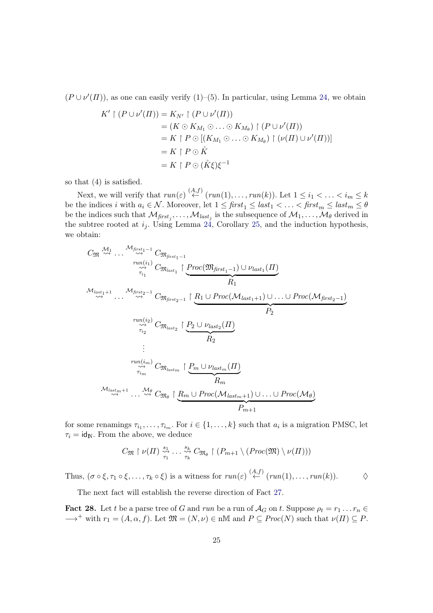$(P \cup \nu'(H))$ , as one can easily verify  $(1)$ – $(5)$ . In particular, using Lemma [24,](#page-20-1) we obtain

$$
K' \upharpoonright (P \cup \nu'(H)) = K_{N'} \upharpoonright (P \cup \nu'(H))
$$
  
=  $(K \odot K_{M_1} \odot ... \odot K_{M_\theta}) \upharpoonright (P \cup \nu'(H))$   
=  $K \upharpoonright P \odot [(K_{M_1} \odot ... \odot K_{M_\theta}) \upharpoonright (\nu(H) \cup \nu'(H))]$   
=  $K \upharpoonright P \odot \mathring{K}$   
=  $K \upharpoonright P \odot (\mathring{K}\xi)\xi^{-1}$ 

so that (4) is satisfied.

Next, we will verify that  $run(\varepsilon) \stackrel{(A,f)}{\leftarrow} (run(1), \ldots, run(k))$ . Let  $1 \leq i_1 < \ldots < i_m \leq k$ be the indices i with  $a_i \in \mathcal{N}$ . Moreover, let  $1 \leq first_1 \leq last_1 < \ldots < first_m \leq last_m \leq \theta$ be the indices such that  $\mathcal{M}_{first_j},\ldots,\mathcal{M}_{last_j}$  is the subsequence of  $\mathcal{M}_1,\ldots,\mathcal{M}_{\theta}$  derived in the subtree rooted at  $i_j$ . Using Lemma [24,](#page-20-1) Corollary [25,](#page-20-2) and the induction hypothesis, we obtain:

$$
C_{\mathfrak{M}} \stackrel{\mathcal{M}_{1}}{\rightsquigarrow} \cdots \stackrel{\mathcal{M}_{first_{1}-1}}{\rightsquigarrow} C_{\mathfrak{M}_{first_{1}-1}} \n\downarrow^{run(i_{1})}_{\widehat{\tau}_{i_{1}}} C_{\mathfrak{M}_{last_{1}}} \upharpoonright \underbrace{Proc(\mathfrak{M}_{first_{1}-1}) \cup \nu_{last_{1}}(H)}_{R_{1}}
$$
\n
$$
\stackrel{\mathcal{M}_{last_{1}+1}}{\rightsquigarrow} \cdots \stackrel{\mathcal{M}_{first_{2}-1}}{\rightsquigarrow} C_{\mathfrak{M}_{first_{2}-1}} \upharpoonright \underbrace{R_{1} \cup Proc(\mathcal{M}_{last_{1}+1}) \cup \ldots \cup Proc(\mathcal{M}_{first_{2}-1})}_{R_{2}}
$$
\n
$$
\vdots
$$
\n
$$
\stackrel{run(i_{2})}{\rightsquigarrow} C_{\mathfrak{M}_{last_{2}}} \upharpoonright \underbrace{P_{2} \cup \nu_{last_{2}}(H)}_{R_{2}}
$$
\n
$$
\vdots
$$
\n
$$
\stackrel{run(i_{m})}{\rightsquigarrow} C_{\mathfrak{M}_{last_{m}}} \upharpoonright \underbrace{P_{m} \cup \nu_{last_{m}}(H)}_{R_{m}}
$$
\n
$$
\stackrel{\mathcal{M}_{last_{m}+1}}{\rightsquigarrow} \cdots \stackrel{\mathcal{M}_{\theta}}{\rightsquigarrow} C_{\mathfrak{M}_{\theta}} \upharpoonright \underbrace{R_{m} \cup Proc(\mathcal{M}_{last_{m}+1}) \cup \ldots \cup Proc(\mathcal{M}_{\theta})}_{P_{m+1}}
$$

for some renamings  $\tau_{i_1}, \ldots, \tau_{i_m}$ . For  $i \in \{1, \ldots, k\}$  such that  $a_i$  is a migration PMSC, let  $\tau_i = id_N$ . From the above, we deduce

$$
C_{\mathfrak{M}}\upharpoonright \nu(\Pi)\stackrel{s_1}{\underset{\tau_1}{\leadsto}}\cdots\stackrel{s_k}{\underset{\tau_k}{\leadsto}}C_{\mathfrak{M}_{\theta}}\upharpoonright (P_{m+1}\setminus (Proc(\mathfrak{M})\setminus \nu(\Pi)))
$$

Thus,  $(\sigma \circ \xi, \tau_1 \circ \xi, \ldots, \tau_k \circ \xi)$  is a witness for  $run(\varepsilon) \stackrel{(A,f)}{\leftarrow} (run(1), \ldots, run(k)).$   $\diamond$ 

<span id="page-25-0"></span>The next fact will establish the reverse direction of Fact [27.](#page-24-0)

**Fact 28.** Let t be a parse tree of G and run be a run of  $\mathcal{A}_G$  on t. Suppose  $\rho_t = r_1 \dots r_n \in$  $\longrightarrow^+$  with  $r_1 = (A, \alpha, f)$ . Let  $\mathfrak{M} = (N, \nu) \in \mathbb{N}$  and  $P \subseteq Proc(N)$  such that  $\nu(\Pi) \subseteq P$ .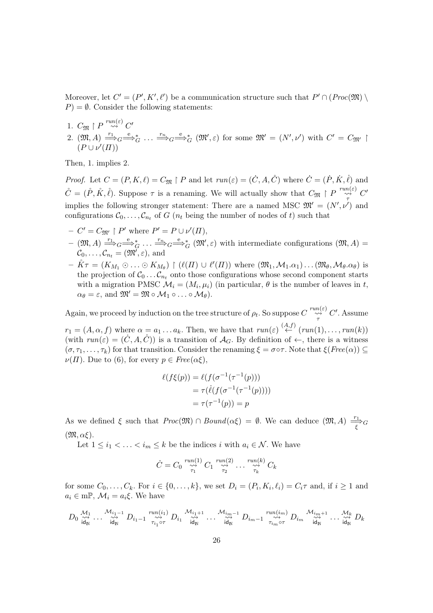Moreover, let  $C' = (P', K', \ell')$  be a communication structure such that  $P' \cap (Proc(\mathfrak{M})) \setminus$  $P$ ) =  $\emptyset$ . Consider the following statements:

- 1.  $C_{\mathfrak{M}} \restriction P \stackrel{run(\varepsilon)}{\rightsquigarrow} C'$
- 2.  $(\mathfrak{M}, A) \stackrel{r_1}{\Longrightarrow}_G \stackrel{e}{\Longrightarrow}_G^* \ldots \stackrel{r_n}{\Longrightarrow}_G \stackrel{e}{\Longrightarrow}_G^* (\mathfrak{M}', \varepsilon)$  for some  $\mathfrak{M}' = (N', \nu')$  with  $C' = C_{\mathfrak{M}'}$  $(P \cup \nu'(H))$

Then, 1. implies 2.

*Proof.* Let  $C = (P, K, \ell) = C_{\mathfrak{M}} \restriction P$  and let  $run(\varepsilon) = (\dot{C}, A, \dot{C})$  where  $\dot{C} = (\dot{P}, \dot{K}, \dot{\ell})$  and  $\mathring{C} = (\mathring{P}, \mathring{K}, \mathring{\ell})$ . Suppose  $\tau$  is a renaming. We will actually show that  $C_{\mathfrak{M}} \upharpoonright P \stackrel{run(\varepsilon)}{\underset{\tau}{\sim}} C'$ implies the following stronger statement: There are a named MSC  $\mathfrak{M}' = (N', \nu')$  and configurations  $\mathcal{C}_0, \ldots, \mathcal{C}_{n_t}$  of G  $(n_t$  being the number of nodes of t) such that

- $-C' = C_{\mathfrak{M}'} \upharpoonright P'$  where  $P' = P \cup \nu'(H)$ ,
- $(\mathfrak{M}, A) \stackrel{r_1}{\Longrightarrow}_G \stackrel{e}{\Longrightarrow}_G^* \ldots \stackrel{r_n}{\Longrightarrow}_G \stackrel{e}{\Longrightarrow}_G^* (\mathfrak{M}', \varepsilon)$  with intermediate configurations  $(\mathfrak{M}, A) =$  $\mathcal{C}_0, \ldots, \mathcal{C}_{n_t} = (\mathfrak{M}', \varepsilon)$ , and
- $\mathring{K}\tau = (K_{M_1} \odot \ldots \odot K_{M_\theta}) \restriction (\ell(\Pi) \cup \ell'(\Pi))$  where  $(\mathfrak{M}_1, \mathcal{M}_1. \alpha_1) \ldots (\mathfrak{M}_\theta, \mathcal{M}_\theta. \alpha_\theta)$  is the projection of  $\mathcal{C}_0 \dots \mathcal{C}_n$ , onto those configurations whose second component starts with a migration PMSC  $\mathcal{M}_i = (M_i, \mu_i)$  (in particular,  $\theta$  is the number of leaves in t,  $\alpha_{\theta} = \varepsilon$ , and  $\mathfrak{M}' = \mathfrak{M} \circ \mathcal{M}_1 \circ \dots \circ \mathcal{M}_{\theta}$ .

Again, we proceed by induction on the tree structure of  $\rho_t$ . So suppose  $C \stackrel{run(\varepsilon)}{\underset{\tau}{\sim}} C'$ . Assume

 $r_1 = (A, \alpha, f)$  where  $\alpha = a_1 \ldots a_k$ . Then, we have that  $run(\varepsilon) \stackrel{(A,f)}{\leftarrow} (run(1), \ldots, run(k))$ (with  $run(\varepsilon) = (\dot{C}, A, \dot{C})$ ) is a transition of  $\mathcal{A}_G$ . By definition of  $\leftarrow$ , there is a witness  $(\sigma, \tau_1, \ldots, \tau_k)$  for that transition. Consider the renaming  $\xi = \sigma \circ \tau$ . Note that  $\xi(Free(\alpha)) \subseteq$  $\nu(\Pi)$ . Due to (6), for every  $p \in Free(\alpha \xi)$ ,

$$
\ell(f\xi(p)) = \ell(f(\sigma^{-1}(\tau^{-1}(p)))\n= \tau(\ell(f(\sigma^{-1}(\tau^{-1}(p))))\n= \tau(\tau^{-1}(p)) = p
$$

As we defined  $\xi$  such that  $Proc(\mathfrak{M}) \cap Bound(\alpha \xi) = \emptyset$ . We can deduce  $(\mathfrak{M}, A) \stackrel{r_1}{\underset{\xi}{\longrightarrow}} G$  $(\mathfrak{M}, \alpha \xi)$ .

Let  $1 \leq i_1 < \ldots < i_m \leq k$  be the indices i with  $a_i \in \mathcal{N}$ . We have

$$
\dot{C} = C_0 \overset{run(1)}{\underset{\tau_1}{\leadsto}} C_1 \overset{run(2)}{\underset{\tau_2}{\leadsto}} \dots \overset{run(k)}{\underset{\tau_k}{\leadsto}} C_k
$$

for some  $C_0, \ldots, C_k$ . For  $i \in \{0, \ldots, k\}$ , we set  $D_i = (P_i, K_i, \ell_i) = C_i \tau$  and, if  $i \ge 1$  and  $a_i \in \text{mP}, \mathcal{M}_i = a_i \xi$ . We have

$$
D_0\overset{\mathcal{M}_1}{\underset{{\mathsf{id}_\mathbb{N}}}{\leadsto}}\ldots\overset{\mathcal{M}_{i_1-1}}{\underset{{\mathsf{id}_\mathbb{N}}}{\leadsto}}D_{i_1-1}\overset{run(i_1)}{\underset{\tau_{i_1}\circ\tau}{\leadsto}}D_{i_1}\overset{\mathcal{M}_{i_1+1}}{\underset{{\mathsf{id}_\mathbb{N}}}{\leadsto}}\ldots\overset{\mathcal{M}_{i_m-1}}{\underset{{\mathsf{id}_\mathbb{N}}}{\leadsto}}D_{i_m-1}\overset{run(i_m)}{\underset{\tau_{i_m}\circ\tau}{\leadsto}}D_{i_m}\overset{\mathcal{M}_{i_m+1}}{\underset{{\mathsf{id}_\mathbb{N}}}{\leadsto}}\ldots\overset{\mathcal{M}_k}{\underset{{\mathsf{id}_\mathbb{N}}}{\leadsto}}D_k
$$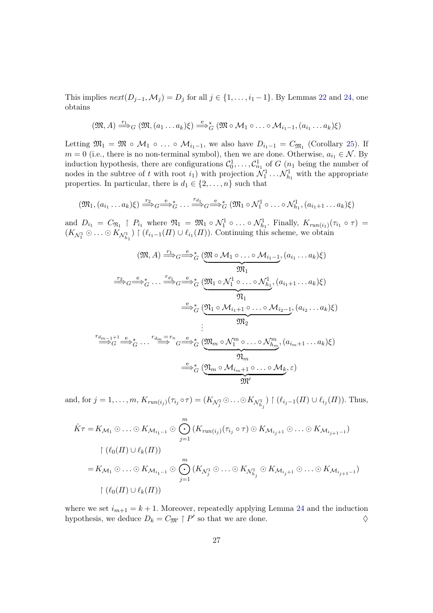This implies  $next(D_{j-1}, \mathcal{M}_j) = D_j$  for all  $j \in \{1, \ldots, i_1 - 1\}$ . By Lemmas [22](#page-19-0) and [24,](#page-20-1) one obtains

$$
(\mathfrak{M},A)\stackrel{r_1}{\Longrightarrow}_G (\mathfrak{M}, (a_1\ldots a_k)\xi)\stackrel{e}{\Longrightarrow}_G^*(\mathfrak{M}\circ \mathcal{M}_1\circ \ldots \circ \mathcal{M}_{i_1-1}, (a_{i_1}\ldots a_k)\xi)
$$

Letting  $\mathfrak{M}_1 = \mathfrak{M} \circ \mathcal{M}_1 \circ \ldots \circ \mathcal{M}_{i_1-1}$ , we also have  $D_{i_1-1} = C_{\mathfrak{M}_1}$  (Corollary [25\)](#page-20-2). If  $m = 0$  (i.e., there is no non-terminal symbol), then we are done. Otherwise,  $a_{i_1} \in \mathcal{N}$ . By induction hypothesis, there are configurations  $\mathcal{C}_0^1, \ldots, \mathcal{C}_{n_1}^1$  of  $G$  ( $n_1$  being the number of nodes in the subtree of t with root  $i_1$ ) with projection  $\mathcal{N}_1^1 \dots \mathcal{N}_{h_1}^1$  with the appropriate properties. In particular, there is  $d_1 \in \{2, \ldots, n\}$  such that

$$
(\mathfrak{M}_1,(a_{i_1}\ldots a_k)\xi)\stackrel{r_2}{\longrightarrow}_G\stackrel{e}{\longrightarrow}_G^*\ldots\stackrel{r_{d_1}}{\longrightarrow}_G\stackrel{e}{\longrightarrow}_G^*(\mathfrak{M}_1\circ \mathcal{N}_1^1\circ \ldots \circ \mathcal{N}_{h_1}^1,(a_{i_1+1}\ldots a_k)\xi)
$$

and  $D_{i_1} = C_{\mathfrak{N}_1} \upharpoonright P_{i_1}$  where  $\mathfrak{N}_1 = \mathfrak{M}_1 \circ \mathcal{N}_1^1 \circ \ldots \circ \mathcal{N}_{h_1}^1$ . Finally,  $K_{run(i_1)}(\tau_{i_1} \circ \tau) =$  $(K_{\mathcal{N}_1^1} \odot \ldots \odot K_{\mathcal{N}_{h_1}^1}) \restriction (\ell_{i_1-1}(H) \cup \ell_{i_1}(H))$ . Continuing this scheme, we obtain

$$
(\mathfrak{M}, A) \xrightarrow{r_1} G \xrightarrow{e}^*_{G} (\underbrace{\mathfrak{M} \circ \mathcal{M}_1 \circ \dots \circ \mathcal{M}_{i_1-1}}_{\mathfrak{M}_1}, (a_{i_1} \dots a_k)\xi)
$$
\n
$$
\xrightarrow{r_2} G \xrightarrow{e}^*_{G} \dots \xrightarrow{r_{d_1}} G \xrightarrow{e}^*_{G} (\underbrace{\mathfrak{M}_1 \circ \mathcal{N}_1^1 \circ \dots \circ \mathcal{N}_{h_1}^1}_{\mathfrak{N}_1}, (a_{i_1+1} \dots a_k)\xi)
$$
\n
$$
\xrightarrow{e}^*_{G} (\underbrace{\mathfrak{N}_1 \circ \mathcal{M}_{i_1+1} \circ \dots \circ \mathcal{M}_{i_2-1}}_{\mathfrak{M}_2}, (a_{i_2} \dots a_k)\xi)
$$
\n
$$
\vdots \xrightarrow{r_{d_{m-1}+1}} \xrightarrow{e}^*_{G} \dots \xrightarrow{r_{d_m} = r_n} G \xrightarrow{e}^*_{G} (\underbrace{\mathfrak{M}_m \circ \mathcal{N}_1^m \circ \dots \circ \mathcal{N}_{h_m}^m}_{\mathfrak{N}_m}, (a_{i_m+1} \dots a_k)\xi)
$$
\n
$$
\xrightarrow{e}^*_{G} (\underbrace{\mathfrak{N}_m \circ \mathcal{M}_{i_m+1} \circ \dots \circ \mathcal{M}_{k}}_{\mathfrak{M}'}) \xi)
$$

and, for  $j = 1, \ldots, m$ ,  $K_{run(i_j)}(\tau_{i_j} \circ \tau) = (K_{\mathcal{N}_j^1} \odot \ldots \odot K_{\mathcal{N}_{h_j}^1}) \upharpoonright (\ell_{i_j-1}(H) \cup \ell_{i_j}(H))$ . Thus,

$$
\mathring{K}\tau = K_{\mathcal{M}_1} \odot \ldots \odot K_{\mathcal{M}_{i_1-1}} \odot \bigodot_{j=1}^m (K_{run(i_j)}(\tau_{i_j} \circ \tau) \odot K_{\mathcal{M}_{i_j+1}} \odot \ldots \odot K_{\mathcal{M}_{i_{j+1}-1}})
$$
\n
$$
\upharpoonright (\ell_0(\Pi) \cup \ell_k(\Pi))
$$
\n
$$
= K_{\mathcal{M}_1} \odot \ldots \odot K_{\mathcal{M}_{i_1-1}} \odot \bigodot_{j=1}^m (K_{\mathcal{N}_j^1} \odot \ldots \odot K_{\mathcal{N}_{h_j^1}} \odot K_{\mathcal{M}_{i_j+1}} \odot \ldots \odot K_{\mathcal{M}_{i_{j+1}-1}})
$$
\n
$$
\upharpoonright (\ell_0(\Pi) \cup \ell_k(\Pi))
$$

where we set  $i_{m+1} = k+1$ . Moreover, repeatedly applying Lemma [24](#page-20-1) and the induction hypothesis, we deduce  $D_k = C_{\mathfrak{M}'} \upharpoonright P'$  so that we are done.  $\diamondsuit$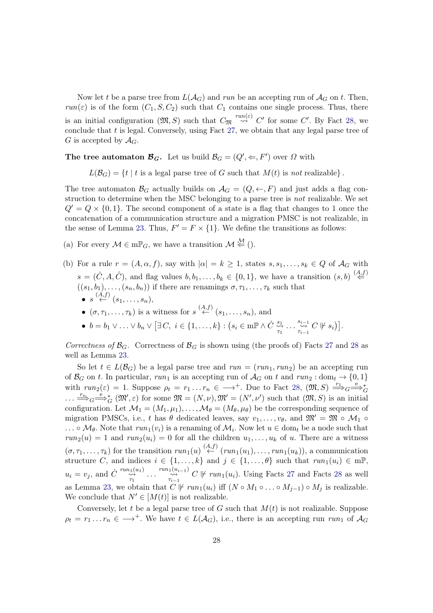Now let t be a parse tree from  $L(\mathcal{A}_G)$  and run be an accepting run of  $\mathcal{A}_G$  on t. Then,  $run(\varepsilon)$  is of the form  $(C_1, S, C_2)$  such that  $C_1$  contains one single process. Thus, there is an initial configuration  $(\mathfrak{M}, S)$  such that  $C_{\mathfrak{M}} \stackrel{run(\varepsilon)}{\leadsto} C'$  for some  $C'$ . By Fact [28,](#page-25-0) we conclude that  $t$  is legal. Conversely, using Fact [27,](#page-24-0) we obtain that any legal parse tree of G is accepted by  $\mathcal{A}_G$ .

The tree automaton  $\mathcal{B}_G$ . Let us build  $\mathcal{B}_G = (Q', \Leftarrow, F')$  over  $\Omega$  with

 $L(\mathcal{B}_G) = \{t \mid t \text{ is a legal parse tree of } G \text{ such that } M(t) \text{ is not realizable} \}.$ 

The tree automaton  $\mathcal{B}_G$  actually builds on  $\mathcal{A}_G = (Q, \leftarrow, F)$  and just adds a flag construction to determine when the MSC belonging to a parse tree is *not* realizable. We set  $Q' = Q \times \{0, 1\}$ . The second component of a state is a flag that changes to 1 once the concatenation of a communication structure and a migration PMSC is not realizable, in the sense of Lemma [23.](#page-19-1) Thus,  $F' = F \times \{1\}$ . We define the transitions as follows:

- (a) For every  $\mathcal{M} \in \mathrm{m} \mathbb{P}_G$ , we have a transition  $\mathcal{M} \stackrel{\mathcal{M}}{\Leftarrow}$  ().
- (b) For a rule  $r = (A, \alpha, f)$ , say with  $|\alpha| = k \geq 1$ , states  $s, s_1, \ldots, s_k \in Q$  of  $\mathcal{A}_G$  with  $s = (\dot{C}, A, \dot{C})$ , and flag values  $b, b_1, \ldots, b_k \in \{0, 1\}$ , we have a transition  $(s, b) \stackrel{(A, f)}{\Leftarrow}$  $((s_1, b_1), \ldots, (s_n, b_n))$  if there are renamings  $\sigma, \tau_1, \ldots, \tau_k$  such that  $\bullet \ \ s \stackrel{(A,f)}{\leftarrow} (s_1, \ldots, s_n),$ 
	- $(\sigma, \tau_1, \ldots, \tau_k)$  is a witness for  $s \stackrel{(A,f)}{\leftarrow} (s_1, \ldots, s_n)$ , and
	- $b = b_1 \vee \ldots \vee b_n \vee [\exists C, i \in \{1, \ldots, k\} : (s_i \in m \mathbb{P} \wedge \dot{C} \stackrel{s_1}{\leadsto}$  $\stackrel{s_1}{\leadsto} \ldots \stackrel{s_{i-1}}{\leadsto} C \not\vdash s_i].$

Correctness of  $\mathcal{B}_G$ . Correctness of  $\mathcal{B}_G$  is shown using (the proofs of) Facts [27](#page-24-0) and [28](#page-25-0) as well as Lemma [23.](#page-19-1)

So let  $t \in L(\mathcal{B}_G)$  be a legal parse tree and  $run = (run_1, run_2)$  be an accepting run of  $\mathcal{B}_G$  on t. In particular, run<sub>1</sub> is an accepting run of  $\mathcal{A}_G$  on t and run<sub>2</sub> : dom<sub>t</sub>  $\rightarrow$  {0, 1} with  $run_2(\varepsilon) = 1$ . Suppose  $\rho_t = r_1 \dots r_n \in \longrightarrow^+$ . Due to Fact [28,](#page-25-0)  $(\mathfrak{M}, S) \stackrel{r_1}{\Longrightarrow}_G \stackrel{e}{\Longrightarrow}_G^*$  $\ldots \stackrel{r_n}{\Longrightarrow}_G^{\mathbf{e}} \stackrel{\ast}{\Longrightarrow}_G^{\mathbf{e}}(\mathfrak{M}',\varepsilon)$  for some  $\mathfrak{M} = (N,\nu), \mathfrak{M}' = (N',\nu')$  such that  $(\mathfrak{M},S)$  is an initial configuration. Let  $\mathcal{M}_1 = (M_1, \mu_1), \ldots, \mathcal{M}_\theta = (M_\theta, \mu_\theta)$  be the corresponding sequence of migration PMSCs, i.e., t has  $\theta$  dedicated leaves, say  $v_1, \ldots, v_{\theta}$ , and  $\mathfrak{M}' = \mathfrak{M} \circ \mathcal{M}_1 \circ$ ... ∘  $\mathcal{M}_{\theta}$ . Note that  $run_1(v_i)$  is a renaming of  $\mathcal{M}_i$ . Now let  $u \in \text{dom}_t$  be a node such that  $run_2(u) = 1$  and  $run_2(u_i) = 0$  for all the children  $u_1, \ldots, u_k$  of u. There are a witness  $(\sigma, \tau_1, \ldots, \tau_k)$  for the transition  $run_1(u) \stackrel{(A,f)}{\leftarrow} (run_1(u_1), \ldots, run_1(u_k)),$  a communication structure C, and indices  $i \in \{1, ..., k\}$  and  $j \in \{1, ..., \theta\}$  such that  $run_1(u_i) \in m\mathbb{P}$ ,  $u_i = v_j$ , and  $\dot{C} \stackrel{run_1(u_1)}{\sim} \dots \stackrel{run_1(u_{i-1})}{\sim} C \not\vdash run_1(u_i)$ . Using Facts [27](#page-24-0) and Facts [28](#page-25-0) as well as Lemma [23,](#page-19-1) we obtain that  $C^{\dagger}$  *⊬*  $run_1(u_i)$  iff  $(N \circ M_1 \circ ... \circ M_{j-1}) \circ M_j$  is realizable. We conclude that  $N' \in [M(t)]$  is not realizable.

Conversely, let t be a legal parse tree of G such that  $M(t)$  is not realizable. Suppose  $\rho_t = r_1 \dots r_n \in \longrightarrow^+$ . We have  $t \in L(\mathcal{A}_G)$ , i.e., there is an accepting run run<sub>1</sub> of  $\mathcal{A}_G$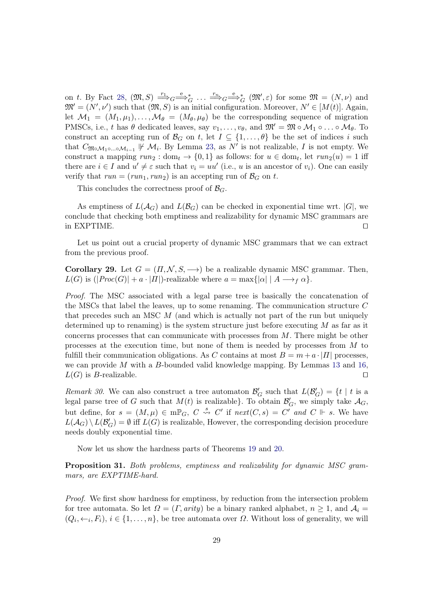on t. By Fact [28,](#page-25-0)  $(\mathfrak{M}, S) \stackrel{r_1}{\Longrightarrow}_G \stackrel{e}{\Longrightarrow}_G^* \ldots \stackrel{r_n}{\Longrightarrow}_G \stackrel{e}{\Longrightarrow}_G^* (\mathfrak{M}', \varepsilon)$  for some  $\mathfrak{M} = (N, \nu)$  and  $\mathfrak{M}' = (N', \nu')$  such that  $(\mathfrak{M}, S)$  is an initial configuration. Moreover,  $N' \in [M(t)]$ . Again, let  $\mathcal{M}_1 = (M_1, \mu_1), \ldots, \mathcal{M}_\theta = (M_\theta, \mu_\theta)$  be the corresponding sequence of migration PMSCs, i.e., t has  $\theta$  dedicated leaves, say  $v_1, \ldots, v_{\theta}$ , and  $\mathfrak{M}' = \mathfrak{M} \circ \mathcal{M}_1 \circ \ldots \circ \mathcal{M}_{\theta}$ . To construct an accepting run of  $\mathcal{B}_G$  on t, let  $I \subseteq \{1, \ldots, \theta\}$  be the set of indices i such that  $C_{\mathfrak{Mod}_{1}\circ...\circ\mathcal{M}_{i-1}}\nVdash \mathcal{M}_i$ . By Lemma [23,](#page-19-1) as  $N'$  is not realizable, I is not empty. We construct a mapping  $run_2: dom_t \to \{0,1\}$  as follows: for  $u \in dom_t$ , let  $run_2(u) = 1$  iff there are  $i \in I$  and  $u' \neq \varepsilon$  such that  $v_i = uu'$  (i.e., u is an ancestor of  $v_i$ ). One can easily verify that  $run = (run_1, run_2)$  is an accepting run of  $\mathcal{B}_G$  on t.

This concludes the correctness proof of  $\mathcal{B}_G$ .

As emptiness of  $L(\mathcal{A}_G)$  and  $L(\mathcal{B}_G)$  can be checked in exponential time wrt.  $|G|$ , we conclude that checking both emptiness and realizability for dynamic MSC grammars are in EXPTIME. ⊓⊔

Let us point out a crucial property of dynamic MSC grammars that we can extract from the previous proof.

Corollary 29. Let  $G = (\Pi, \mathcal{N}, S, \rightarrow)$  be a realizable dynamic MSC grammar. Then,  $L(G)$  is  $(|Proc(G)| + a \cdot |H|)$ -realizable where  $a = \max\{|\alpha| \mid A \rightarrow_{f} \alpha\}.$ 

Proof. The MSC associated with a legal parse tree is basically the concatenation of the MSCs that label the leaves, up to some renaming. The communication structure  $C$ that precedes such an MSC  $M$  (and which is actually not part of the run but uniquely determined up to renaming) is the system structure just before executing  $M$  as far as it concerns processes that can communicate with processes from  $M$ . There might be other processes at the execution time, but none of them is needed by processes from  $M$  to fulfill their communication obligations. As C contains at most  $B = m + a \cdot |H|$  processes, we can provide  $M$  with a  $B$ -bounded valid knowledge mapping. By Lemmas [13](#page-16-1) and [16,](#page-17-2)  $L(G)$  is *B*-realizable. □

Remark 30. We can also construct a tree automaton  $\mathcal{B}'_G$  such that  $L(\mathcal{B}'_G) = \{t \mid t \text{ is a } \}$ legal parse tree of G such that  $M(t)$  is realizable}. To obtain  $\mathcal{B}'_G$ , we simply take  $\mathcal{A}_G$ , but define, for  $s = (M, \mu) \in \text{mP}_G$ ,  $C \stackrel{s}{\leadsto} C'$  if  $next(C, s) = C'$  and  $C \Vdash s$ . We have  $L(\mathcal{A}_G) \setminus L(\mathcal{B}'_G) = \emptyset$  iff  $L(G)$  is realizable, However, the corresponding decision procedure needs doubly exponential time.

<span id="page-29-0"></span>Now let us show the hardness parts of Theorems [19](#page-17-1) and [20.](#page-18-2)

Proposition 31. Both problems, emptiness and realizability for dynamic MSC grammars, are EXPTIME-hard.

Proof. We first show hardness for emptiness, by reduction from the intersection problem for tree automata. So let  $\Omega = (\Gamma, \text{arity})$  be a binary ranked alphabet,  $n \geq 1$ , and  $\mathcal{A}_i =$  $(Q_i, \leftarrow_i, F_i), i \in \{1, \ldots, n\}$ , be tree automata over  $\Omega$ . Without loss of generality, we will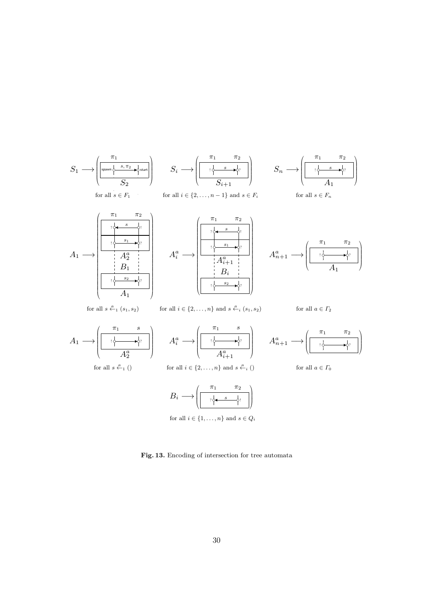

<span id="page-30-0"></span>Fig. 13. Encoding of intersection for tree automata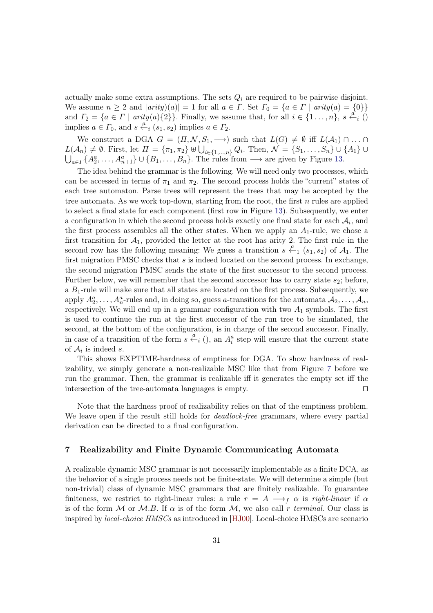actually make some extra assumptions. The sets  $Q_i$  are required to be pairwise disjoint. We assume  $n \geq 2$  and  $|arity)(a)| = 1$  for all  $a \in \Gamma$ . Set  $\Gamma_0 = \{a \in \Gamma \mid arity(a) = \{0\}\}\$ and  $\overline{\Gamma_2} = \{a \in \Gamma \mid \text{arity}(a) \{2\}\}\.$  Finally, we assume that, for all  $i \in \{1 \ldots, n\}$ ,  $s \stackrel{a}{\leftarrow} i$  () implies  $a \in \Gamma_0$ , and  $s \stackrel{a}{\leftarrow_i} (s_1, s_2)$  implies  $a \in \Gamma_2$ .

We construct a DGA  $G = (\Pi, \mathcal{N}, S_1, \longrightarrow)$  such that  $L(G) \neq \emptyset$  iff  $L(\mathcal{A}_1) \cap \dots \cap$  $L(\mathcal{A}_n) \neq \emptyset$ . First, let  $\Pi = {\pi_1, \pi_2} \cup \bigcup_{i \in \{1, ..., n\}} Q_i$ . Then,  $\mathcal{N} = \{S_1, \ldots, S_n\} \cup \{A_1\} \cup \{A_2\}$  $\bigcup_{a \in \Gamma} \{A_2^a, \ldots, A_{n+1}^a\} \cup \{B_1, \ldots, B_n\}.$  The rules from  $\longrightarrow$  are given by Figure [13.](#page-30-0)

The idea behind the grammar is the following. We will need only two processes, which can be accessed in terms of  $\pi_1$  and  $\pi_2$ . The second process holds the "current" states of each tree automaton. Parse trees will represent the trees that may be accepted by the tree automata. As we work top-down, starting from the root, the first  $n$  rules are applied to select a final state for each component (first row in Figure [13\)](#page-30-0). Subsequently, we enter a configuration in which the second process holds exactly one final state for each  $\mathcal{A}_i$ , and the first process assembles all the other states. When we apply an  $A_1$ -rule, we chose a first transition for  $A_1$ , provided the letter at the root has arity 2. The first rule in the second row has the following meaning: We guess a transition  $s \stackrel{a}{\leftarrow}_1 (s_1, s_2)$  of  $\mathcal{A}_1$ . The first migration PMSC checks that  $s$  is indeed located on the second process. In exchange, the second migration PMSC sends the state of the first successor to the second process. Further below, we will remember that the second successor has to carry state  $s_2$ ; before, a  $B_1$ -rule will make sure that all states are located on the first process. Subsequently, we apply  $A_2^a, \ldots, A_n^a$ -rules and, in doing so, guess a-transitions for the automata  $A_2, \ldots, A_n$ , respectively. We will end up in a grammar configuration with two  $A_1$  symbols. The first is used to continue the run at the first successor of the run tree to be simulated, the second, at the bottom of the configuration, is in charge of the second successor. Finally, in case of a transition of the form  $s \stackrel{a}{\leftarrow} i$  (), an  $A_i^a$  step will ensure that the current state of  $A_i$  is indeed s.

This shows EXPTIME-hardness of emptiness for DGA. To show hardness of realizability, we simply generate a non-realizable MSC like that from Figure [7](#page-15-0) before we run the grammar. Then, the grammar is realizable iff it generates the empty set iff the intersection of the tree-automata languages is empty. ⊓⊔

Note that the hardness proof of realizability relies on that of the emptiness problem. We leave open if the result still holds for *deadlock-free* grammars, where every partial derivation can be directed to a final configuration.

## <span id="page-31-0"></span>7 Realizability and Finite Dynamic Communicating Automata

A realizable dynamic MSC grammar is not necessarily implementable as a finite DCA, as the behavior of a single process needs not be finite-state. We will determine a simple (but non-trivial) class of dynamic MSC grammars that are finitely realizable. To guarantee finiteness, we restrict to right-linear rules: a rule  $r = A \rightarrow f \alpha$  is right-linear if  $\alpha$ is of the form  $M$  or  $M.B.$  If  $\alpha$  is of the form  $M$ , we also call r terminal. Our class is inspired by *local-choice HMSCs* as introduced in [\[HJ00\]](#page-39-7). Local-choice HMSCs are scenario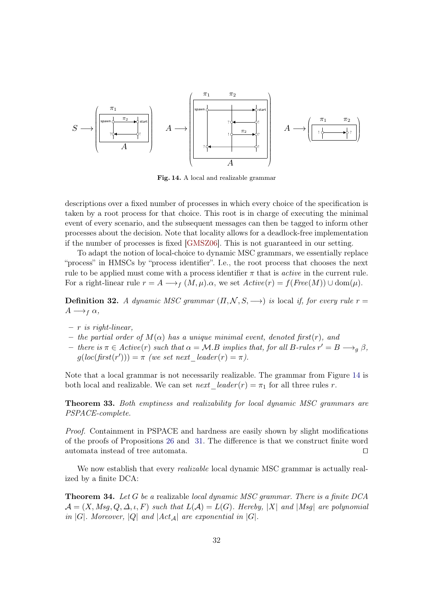

<span id="page-32-0"></span>Fig. 14. A local and realizable grammar

descriptions over a fixed number of processes in which every choice of the specification is taken by a root process for that choice. This root is in charge of executing the minimal event of every scenario, and the subsequent messages can then be tagged to inform other processes about the decision. Note that locality allows for a deadlock-free implementation if the number of processes is fixed [\[GMSZ06\]](#page-39-8). This is not guaranteed in our setting.

To adapt the notion of local-choice to dynamic MSC grammars, we essentially replace "process" in HMSCs by "process identifier". I.e., the root process that chooses the next rule to be applied must come with a process identifier  $\pi$  that is *active* in the current rule. For a right-linear rule  $r = A \longrightarrow_f (M, \mu)$ . $\alpha$ , we set  $Active(r) = f(Free(M)) \cup dom(\mu)$ .

**Definition 32.** A dynamic MSC grammar  $(\Pi, \mathcal{N}, S, \rightarrow)$  is local if, for every rule  $r =$  $A \longrightarrow_f \alpha$ ,

- $r$  is right-linear,
- the partial order of  $M(\alpha)$  has a unique minimal event, denoted first $(r)$ , and
- $-$  there is π ∈ Active(r) such that  $\alpha = \mathcal{M}.B$  implies that, for all B-rules  $r' = B \longrightarrow_g \beta$ ,  $g(loc(first(r'))) = \pi$  (we set next\_leader(r) =  $\pi$ ).

Note that a local grammar is not necessarily realizable. The grammar from Figure [14](#page-32-0) is both local and realizable. We can set *next*  $\text{leader}(r) = \pi_1$  for all three rules r.

Theorem 33. Both emptiness and realizability for local dynamic MSC grammars are PSPACE-complete.

Proof. Containment in PSPACE and hardness are easily shown by slight modifications of the proofs of Propositions [26](#page-20-0) and [31.](#page-29-0) The difference is that we construct finite word automata instead of tree automata. ⊓⊔

<span id="page-32-1"></span>We now establish that every *realizable* local dynamic MSC grammar is actually realized by a finite DCA:

**Theorem 34.** Let  $G$  be a realizable local dynamic MSC grammar. There is a finite DCA  $\mathcal{A} = (X, Msq, Q, \Delta, \iota, F)$  such that  $L(\mathcal{A}) = L(G)$ . Hereby, |X| and |Msg| are polynomial in | $G$ |. Moreover,  $|Q|$  and  $|Act_{\mathcal{A}}|$  are exponential in  $|G|$ .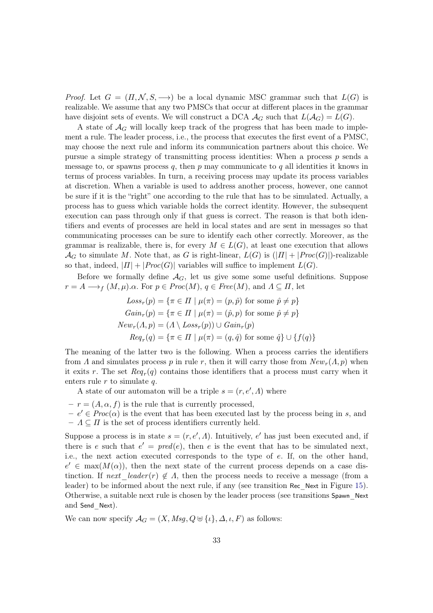*Proof.* Let  $G = (\Pi, \mathcal{N}, S, \rightarrow)$  be a local dynamic MSC grammar such that  $L(G)$  is realizable. We assume that any two PMSCs that occur at different places in the grammar have disjoint sets of events. We will construct a DCA  $\mathcal{A}_G$  such that  $L(\mathcal{A}_G) = L(G)$ .

A state of  $\mathcal{A}_G$  will locally keep track of the progress that has been made to implement a rule. The leader process, i.e., the process that executes the first event of a PMSC, may choose the next rule and inform its communication partners about this choice. We pursue a simple strategy of transmitting process identities: When a process  $p$  sends a message to, or spawns process  $q$ , then  $p$  may communicate to  $q$  all identities it knows in terms of process variables. In turn, a receiving process may update its process variables at discretion. When a variable is used to address another process, however, one cannot be sure if it is the "right" one according to the rule that has to be simulated. Actually, a process has to guess which variable holds the correct identity. However, the subsequent execution can pass through only if that guess is correct. The reason is that both identifiers and events of processes are held in local states and are sent in messages so that communicating processes can be sure to identify each other correctly. Moreover, as the grammar is realizable, there is, for every  $M \in L(G)$ , at least one execution that allows  $\mathcal{A}_G$  to simulate M. Note that, as G is right-linear,  $L(G)$  is  $(|\Pi| + |Proc(G)|)$ -realizable so that, indeed,  $|I| + |Proc(G)|$  variables will suffice to implement  $L(G)$ .

Before we formally define  $A_G$ , let us give some some useful definitions. Suppose  $r = A \longrightarrow_f (M, \mu)$ . $\alpha$ . For  $p \in Proc(M), q \in Free(M)$ , and  $\Lambda \subseteq \Pi$ , let

$$
Loss_r(p) = \{\pi \in \Pi \mid \mu(\pi) = (p, \hat{p}) \text{ for some } \hat{p} \neq p\}
$$
  
\n
$$
Gain_r(p) = \{\pi \in \Pi \mid \mu(\pi) = (\hat{p}, p) \text{ for some } \hat{p} \neq p\}
$$
  
\n
$$
New_r(\Lambda, p) = (\Lambda \setminus Loss_r(p)) \cup Gain_r(p)
$$
  
\n
$$
Req_r(q) = \{\pi \in \Pi \mid \mu(\pi) = (q, \hat{q}) \text{ for some } \hat{q}\} \cup \{f(q)\}
$$

The meaning of the latter two is the following. When a process carries the identifiers from  $\Lambda$  and simulates process  $p$  in rule r, then it will carry those from  $New_r(\Lambda, p)$  when it exits r. The set  $\text{Re}q_r(q)$  contains those identifiers that a process must carry when it enters rule  $r$  to simulate  $q$ .

A state of our automaton will be a triple  $s = (r, e', A)$  where

 $- r = (A, \alpha, f)$  is the rule that is currently processed,

 $-e' \in Proc(\alpha)$  is the event that has been executed last by the process being in s, and  $- A \subseteq \Pi$  is the set of process identifiers currently held.

Suppose a process is in state  $s = (r, e', \Lambda)$ . Intuitively, e' has just been executed and, if there is e such that  $e' = pred(e)$ , then e is the event that has to be simulated next, i.e., the next action executed corresponds to the type of e. If, on the other hand,  $e' \in \max(M(\alpha))$ , then the next state of the current process depends on a case distinction. If next leader  $(r) \notin A$ , then the process needs to receive a message (from a leader) to be informed about the next rule, if any (see transition Rec\_Next in Figure [15\)](#page-35-0). Otherwise, a suitable next rule is chosen by the leader process (see transitions Spawn\_Next and Send Next).

We can now specify  $\mathcal{A}_G = (X, Msg, Q \oplus \{\iota\}, \Delta, \iota, F)$  as follows: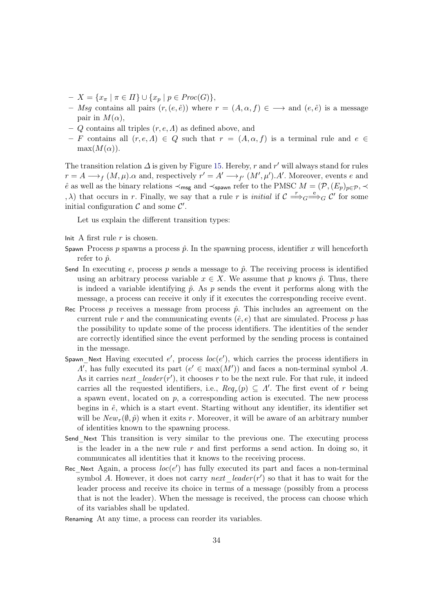- $X = \{x_{\pi} \mid \pi \in \Pi\} \cup \{x_p \mid p \in \text{Proc}(G)\},\$
- Msq contains all pairs  $(r, (e, \hat{e}))$  where  $r = (A, \alpha, f) \in \longrightarrow$  and  $(e, \hat{e})$  is a message pair in  $M(\alpha)$ ,
- $Q$  contains all triples  $(r, e, \Lambda)$  as defined above, and
- F contains all  $(r, e, \Lambda) \in Q$  such that  $r = (A, \alpha, f)$  is a terminal rule and  $e \in$  $max(M(\alpha)).$

The transition relation  $\Delta$  is given by Figure [15.](#page-35-0) Hereby, r and r' will always stand for rules  $r = A \longrightarrow_f (M, \mu)$ .  $\alpha$  and, respectively  $r' = A' \longrightarrow_{f'} (M', \mu')$ . Moreover, events e and  $\hat{e}$  as well as the binary relations  $\prec_{\sf msg}$  and  $\prec_{\sf spawn}$  refer to the PMSC  $M = (\mathcal{P}, (E_p)_{p \in \mathcal{P}}, \prec$  $(x, \lambda)$  that occurs in r. Finally, we say that a rule r is *initial* if  $\mathcal{C} \stackrel{r}{\Longrightarrow}_G \stackrel{e}{\Longrightarrow}_G \mathcal{C}'$  for some initial configuration  $\mathcal C$  and some  $\mathcal C'$ .

Let us explain the different transition types:

Init A first rule  $r$  is chosen.

- Spawn Process  $p$  spawns a process  $\hat{p}$ . In the spawning process, identifier x will henceforth refer to  $\hat{p}$ .
- Send In executing e, process p sends a message to  $\hat{p}$ . The receiving process is identified using an arbitrary process variable  $x \in X$ . We assume that p knows  $\hat{p}$ . Thus, there is indeed a variable identifying  $\hat{p}$ . As  $p$  sends the event it performs along with the message, a process can receive it only if it executes the corresponding receive event.
- Rec Process  $p$  receives a message from process  $\hat{p}$ . This includes an agreement on the current rule r and the communicating events  $(\hat{e}, e)$  that are simulated. Process p has the possibility to update some of the process identifiers. The identities of the sender are correctly identified since the event performed by the sending process is contained in the message.
- Spawn\_Next Having executed  $e'$ , process  $loc(e')$ , which carries the process identifiers in  $\Lambda'$ , has fully executed its part  $(e' \in \max(M'))$  and faces a non-terminal symbol A. As it carries  $next\_leader(r')$ , it chooses r to be the next rule. For that rule, it indeed carries all the requested identifiers, i.e.,  $Req_r(p) \subseteq \Lambda'$ . The first event of r being a spawn event, located on  $p$ , a corresponding action is executed. The new process begins in  $\hat{e}$ , which is a start event. Starting without any identifier, its identifier set will be  $New_r(\emptyset, \hat{p})$  when it exits r. Moreover, it will be aware of an arbitrary number of identities known to the spawning process.
- Send\_Next This transition is very similar to the previous one. The executing process is the leader in a the new rule  $r$  and first performs a send action. In doing so, it communicates all identities that it knows to the receiving process.
- Rec\_Next Again, a process  $loc(e')$  has fully executed its part and faces a non-terminal symbol A. However, it does not carry  $next\_leader(r')$  so that it has to wait for the leader process and receive its choice in terms of a message (possibly from a process that is not the leader). When the message is received, the process can choose which of its variables shall be updated.
- Renaming At any time, a process can reorder its variables.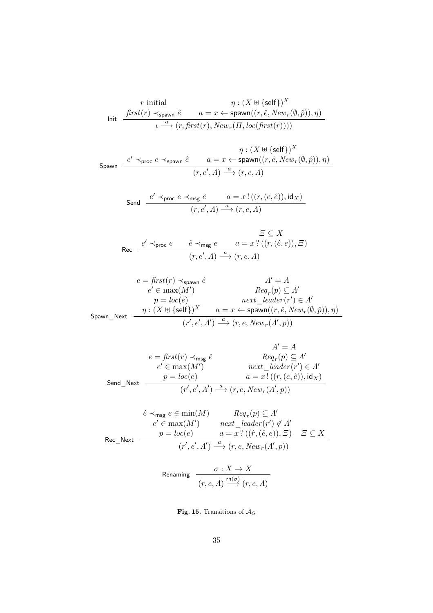$$
\begin{array}{cc} r \text{ initial} & \eta: (X \uplus \{\text{self}\})^X \\ \text{Init} & \xrightarrow{first(r) \prec_{\text{spawn}} \hat{e}} & a = x \leftarrow \text{spawn}((r, \hat{e}, New_r(\emptyset, \hat{p})), \eta) \\ & \iota \stackrel{a}{\longrightarrow} (r, \textit{first}(r), \textit{New}_r(\Pi, \textit{loc}(\textit{first}(r)))) \end{array}
$$

$$
\mathsf{Spawn}\quad \frac{e'\prec_{\mathsf{proc}\, e\; \prec_{\mathsf{spawn}\, \hat{e}}\;}\;n:(X\uplus \{\mathsf{self}\})^X}{(r,e',A)\stackrel{a}{\longrightarrow}(r,e,A)}
$$

$$
\text{Send} \quad \frac{e' \prec_{\text{proc}} e \prec_{\text{msg}} \hat{e}}{(r, e', A) \stackrel{a}{\longrightarrow} (r, e, A)}
$$

$$
\text{Rec} \quad \frac{e' \prec_{\text{proc}} e}{e' \prec_{\text{mc}} e} \quad \frac{\hat{e} \prec_{\text{msg}} e}{(r, e', A) \stackrel{a}{\longrightarrow} (r, e, A)} \quad (r, e, A)
$$

$$
e = \textit{first}(r) \prec_{\text{spawn}} \hat{e} \qquad \qquad A' = A
$$
\n
$$
e' \in \max(M')
$$
\n
$$
p = loc(e) \qquad \qquad next \_\text{leder}(r') \in A'
$$
\n
$$
\text{Spawn\_Next} \quad \frac{\eta : (X \uplus \{\text{self}\})^X \quad a = x \leftarrow \text{spawn}((r, \hat{e}, \text{New}_r(\emptyset, \hat{p})), \eta)}{(r', e', A') \xrightarrow{a} (r, e, \text{New}_r(A', p))}
$$

$$
A' = A
$$
\n
$$
e = \text{first}(r) \prec_{\text{msg}} \hat{e}
$$
\n
$$
e' \in \max(M')
$$
\n
$$
\text{Send\_Next} \quad \frac{p = \text{loc}(e)}{(r', e', A') \xrightarrow{a} (r, e, \text{New}_r(A', p))} (r', e', A') \xrightarrow{a} (r, e, \text{New}_r(A', p))
$$

$$
\hat{e} \prec_{\text{msg}} e \in \min(M) \qquad \operatorname{Req}_r(p) \subseteq \Lambda'
$$
\n
$$
e' \in \max(M') \qquad \operatorname{next\_leader}(r') \notin \Lambda'
$$
\n
$$
\text{Rec\_Next} \quad \frac{p = loc(e) \qquad a = x? \left( (\hat{r}, (\hat{e}, e)), \Xi \right) \quad \Xi \subseteq X}{(r', e', \Lambda') \xrightarrow{a} (r, e, New_r(\Lambda', p))}
$$

$$
\text{Renaming} \quad \frac{\sigma: X \to X}{(r, e, \Lambda) \xrightarrow{\text{rn}(\sigma)} (r, e, \Lambda)}
$$

<span id="page-35-0"></span>Fig. 15. Transitions of  $\mathcal{A}_G$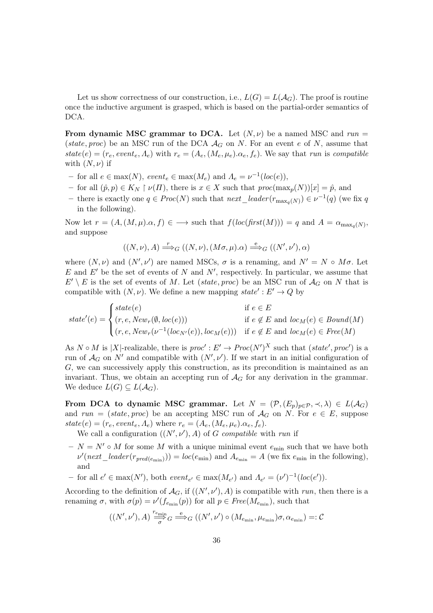Let us show correctness of our construction, i.e.,  $L(G) = L(\mathcal{A}_G)$ . The proof is routine once the inductive argument is grasped, which is based on the partial-order semantics of DCA.

From dynamic MSC grammar to DCA. Let  $(N,\nu)$  be a named MSC and run = (state, proc) be an MSC run of the DCA  $\mathcal{A}_G$  on N. For an event e of N, assume that  $state(e) = (r_e, event_e, A_e)$  with  $r_e = (A_e, (M_e, \mu_e). \alpha_e, f_e)$ . We say that run is compatible with  $(N, \nu)$  if

- − for all  $e \in max(N)$ , event<sub>e</sub>  $\in max(M_e)$  and  $\Lambda_e = \nu^{-1}(loc(e)),$
- for all  $(\hat{p}, p) \in K_N \upharpoonright \nu(\Pi)$ , there is  $x \in X$  such that  $proc(max_p(N))[x] = \hat{p}$ , and
- − there is exactly one  $q \in Proc(N)$  such that  $next\_leader(r_{\max_q(N)}) \in \nu^{-1}(q)$  (we fix q in the following).

Now let  $r = (A, (M, \mu).\alpha, f) \in \longrightarrow$  such that  $f(loc(first(M))) = q$  and  $A = \alpha_{\max_q(N)}$ , and suppose

$$
((N,\nu),A) \stackrel{r}{\Longrightarrow}_G ((N,\nu),(M\sigma,\mu).\alpha) \stackrel{e}{\Longrightarrow}_G ((N',\nu'),\alpha)
$$

where  $(N, \nu)$  and  $(N', \nu')$  are named MSCs,  $\sigma$  is a renaming, and  $N' = N \circ M\sigma$ . Let E and  $E'$  be the set of events of N and N', respectively. In particular, we assume that  $E' \setminus E$  is the set of events of M. Let (state, proc) be an MSC run of  $\mathcal{A}_G$  on N that is compatible with  $(N, \nu)$ . We define a new mapping  $state' : E' \rightarrow Q$  by

$$
state'(e) = \begin{cases} state(e) & \text{if } e \in E \\ (r, e, New_r(\emptyset, loc(e))) & \text{if } e \notin E \text{ and } loc_M(e) \in Bound(M) \\ (r, e, New_r(\nu^{-1}(loc_{N'}(e)), loc_M(e))) & \text{if } e \notin E \text{ and } loc_M(e) \in Free(M) \end{cases}
$$

As  $N \circ M$  is |X|-realizable, there is  $proc': E' \to Proc(N')^X$  such that  $(state', proc')$  is a run of  $\mathcal{A}_G$  on  $N'$  and compatible with  $(N', \nu')$ . If we start in an initial configuration of  $G$ , we can successively apply this construction, as its precondition is maintained as an invariant. Thus, we obtain an accepting run of  $\mathcal{A}_G$  for any derivation in the grammar. We deduce  $L(G) \subseteq L(\mathcal{A}_G)$ .

From DCA to dynamic MSC grammar. Let  $N = (\mathcal{P}, (E_p)_{p \in \mathcal{P}}, \prec, \lambda) \in L(\mathcal{A}_G)$ and run = (state, proc) be an accepting MSC run of  $A_G$  on N. For  $e \in E$ , suppose  $state(e) = (r_e, event_e, \Lambda_e)$  where  $r_e = (\Lambda_e, (M_e, \mu_e), \Lambda_e, f_e)$ .

We call a configuration  $((N', \nu'), A)$  of G compatible with run if

- $N = N' \circ M$  for some M with a unique minimal event  $e_{\min}$  such that we have both  $\nu'(next\_leader(r_{pred(e_{\min}))) = loc(e_{\min})$  and  $A_{e_{\min}} = A$  (we fix  $e_{\min}$  in the following), and
- for all  $e' \in \max(N')$ , both  $event_{e'} \in \max(M_{e'})$  and  $\Lambda_{e'} = (\nu')^{-1}(loc(e')).$

According to the definition of  $\mathcal{A}_G$ , if  $((N', \nu'), A)$  is compatible with run, then there is a renaming  $\sigma$ , with  $\sigma(p) = \nu'(f_{e_{\min}}(p))$  for all  $p \in Free(M_{e_{\min}})$ , such that

$$
((N',\nu'),A) \xrightarrow[\sigma]{r_{e_{\min}}}\n G \xrightarrow{e}\n G\n ((N',\nu') \circ (M_{e_{\min}},\mu_{e_{\min}})\sigma,\alpha_{e_{\min}})=:\n C
$$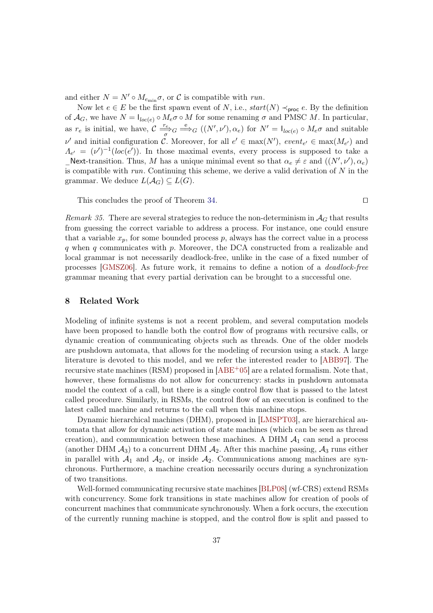and either  $N = N' \circ M_{e_{\min}} \sigma$ , or  $C$  is compatible with *run*.

Now let  $e \in E$  be the first spawn event of N, i.e.,  $start(N) \prec_{\text{proc}} e$ . By the definition of  $\mathcal{A}_G$ , we have  $N = I_{loc(e)} \circ M_e \sigma \circ M$  for some renaming  $\sigma$  and PMSC M. In particular, as  $r_e$  is initial, we have,  $\mathcal{C} \stackrel{r_e}{\longrightarrow} G \stackrel{e}{\longrightarrow} G((N',\nu'),\alpha_e)$  for  $N' = I_{loc(e)} \circ M_e \sigma$  and suitable  $\nu'$  and initial configuration C. Moreover, for all  $e' \in \max(N')$ ,  $event_{e'} \in \max(M_{e'})$  and  $\Lambda_{e'} = (\nu')^{-1}(loc(e'))$ . In those maximal events, every process is supposed to take a \_Next-transition. Thus, M has a unique minimal event so that  $\alpha_e \neq \varepsilon$  and  $((N', \nu'), \alpha_e)$ is compatible with run. Continuing this scheme, we derive a valid derivation of  $N$  in the grammar. We deduce  $L(\mathcal{A}_G) \subseteq L(G)$ .

This concludes the proof of Theorem [34.](#page-32-1) □

Remark 35. There are several strategies to reduce the non-determinism in  $A_G$  that results from guessing the correct variable to address a process. For instance, one could ensure that a variable  $x_p$ , for some bounded process  $p$ , always has the correct value in a process  $q$  when  $q$  communicates with  $p$ . Moreover, the DCA constructed from a realizable and local grammar is not necessarily deadlock-free, unlike in the case of a fixed number of processes [\[GMSZ06\]](#page-39-8). As future work, it remains to define a notion of a deadlock-free grammar meaning that every partial derivation can be brought to a successful one.

### <span id="page-37-0"></span>8 Related Work

Modeling of infinite systems is not a recent problem, and several computation models have been proposed to handle both the control flow of programs with recursive calls, or dynamic creation of communicating objects such as threads. One of the older models are pushdown automata, that allows for the modeling of recursion using a stack. A large literature is devoted to this model, and we refer the interested reader to [\[ABB97\]](#page-39-9). The recursive state machines (RSM) proposed in [\[ABE](#page-39-10)+05] are a related formalism. Note that, however, these formalisms do not allow for concurrency: stacks in pushdown automata model the context of a call, but there is a single control flow that is passed to the latest called procedure. Similarly, in RSMs, the control flow of an execution is confined to the latest called machine and returns to the call when this machine stops.

Dynamic hierarchical machines (DHM), proposed in [\[LMSPT03\]](#page-40-5), are hierarchical automata that allow for dynamic activation of state machines (which can be seen as thread creation), and communication between these machines. A DHM  $A_1$  can send a process (another DHM  $\mathcal{A}_3$ ) to a concurrent DHM  $\mathcal{A}_2$ . After this machine passing,  $\mathcal{A}_3$  runs either in parallel with  $\mathcal{A}_1$  and  $\mathcal{A}_2$ , or inside  $\mathcal{A}_2$ . Communications among machines are synchronous. Furthermore, a machine creation necessarily occurs during a synchronization of two transitions.

Well-formed communicating recursive state machines [\[BLP08\]](#page-39-11) (wf-CRS) extend RSMs with concurrency. Some fork transitions in state machines allow for creation of pools of concurrent machines that communicate synchronously. When a fork occurs, the execution of the currently running machine is stopped, and the control flow is split and passed to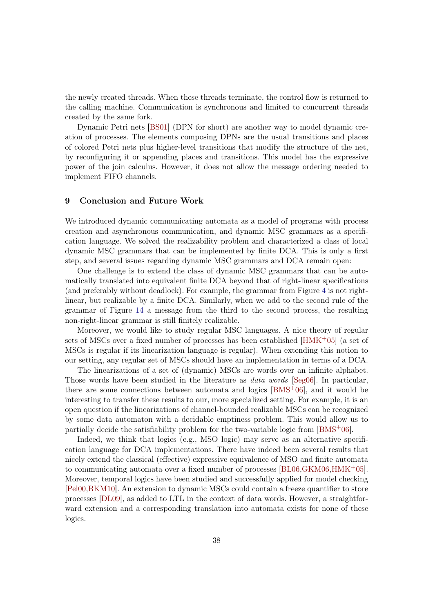the newly created threads. When these threads terminate, the control flow is returned to the calling machine. Communication is synchronous and limited to concurrent threads created by the same fork.

Dynamic Petri nets [\[BS01\]](#page-39-12) (DPN for short) are another way to model dynamic creation of processes. The elements composing DPNs are the usual transitions and places of colored Petri nets plus higher-level transitions that modify the structure of the net, by reconfiguring it or appending places and transitions. This model has the expressive power of the join calculus. However, it does not allow the message ordering needed to implement FIFO channels.

## <span id="page-38-0"></span>9 Conclusion and Future Work

We introduced dynamic communicating automata as a model of programs with process creation and asynchronous communication, and dynamic MSC grammars as a specification language. We solved the realizability problem and characterized a class of local dynamic MSC grammars that can be implemented by finite DCA. This is only a first step, and several issues regarding dynamic MSC grammars and DCA remain open:

One challenge is to extend the class of dynamic MSC grammars that can be automatically translated into equivalent finite DCA beyond that of right-linear specifications (and preferably without deadlock). For example, the grammar from Figure [4](#page-11-0) is not rightlinear, but realizable by a finite DCA. Similarly, when we add to the second rule of the grammar of Figure [14](#page-32-0) a message from the third to the second process, the resulting non-right-linear grammar is still finitely realizable.

Moreover, we would like to study regular MSC languages. A nice theory of regular sets of MSCs over a fixed number of processes has been established  $[HMK^+05]$  $[HMK^+05]$  (a set of MSCs is regular if its linearization language is regular). When extending this notion to our setting, any regular set of MSCs should have an implementation in terms of a DCA.

The linearizations of a set of (dynamic) MSCs are words over an infinite alphabet. Those words have been studied in the literature as *data words* [\[Seg06\]](#page-40-7). In particular, there are some connections between automata and logics [\[BMS](#page-39-13)+06], and it would be interesting to transfer these results to our, more specialized setting. For example, it is an open question if the linearizations of channel-bounded realizable MSCs can be recognized by some data automaton with a decidable emptiness problem. This would allow us to partially decide the satisfiability problem for the two-variable logic from [\[BMS](#page-39-13)+06].

Indeed, we think that logics (e.g., MSO logic) may serve as an alternative specification language for DCA implementations. There have indeed been several results that nicely extend the classical (effective) expressive equivalence of MSO and finite automata to communicating automata over a fixed number of processes [\[BL06,](#page-39-14)[GKM06,](#page-39-15)[HMK](#page-40-6)+05]. Moreover, temporal logics have been studied and successfully applied for model checking [\[Pel00](#page-40-8)[,BKM10\]](#page-39-16). An extension to dynamic MSCs could contain a freeze quantifier to store processes [\[DL09\]](#page-39-17), as added to LTL in the context of data words. However, a straightforward extension and a corresponding translation into automata exists for none of these logics.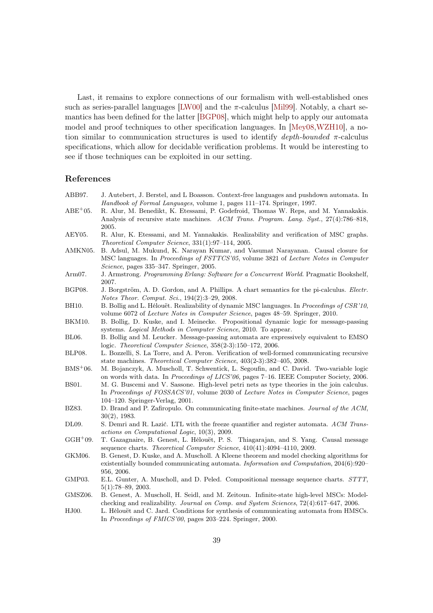Last, it remains to explore connections of our formalism with well-established ones such as series-parallel languages [\[LW00\]](#page-40-9) and the  $\pi$ -calculus [\[Mil99\]](#page-40-10). Notably, a chart semantics has been defined for the latter [\[BGP08\]](#page-39-18), which might help to apply our automata model and proof techniques to other specification languages. In [\[Mey08,](#page-40-11)[WZH10\]](#page-40-12), a notion similar to communication structures is used to identify *depth-bounded*  $\pi$ -calculus specifications, which allow for decidable verification problems. It would be interesting to see if those techniques can be exploited in our setting.

#### References

<span id="page-39-18"></span><span id="page-39-16"></span><span id="page-39-14"></span><span id="page-39-11"></span><span id="page-39-10"></span><span id="page-39-9"></span><span id="page-39-6"></span><span id="page-39-5"></span><span id="page-39-4"></span><span id="page-39-2"></span>

| ABB97.            | J. Autebert, J. Berstel, and L Boasson. Context-free languages and pushdown automata. In    |
|-------------------|---------------------------------------------------------------------------------------------|
|                   | Handbook of Formal Languages, volume 1, pages 111-174. Springer, 1997.                      |
| $ABE+05.$         | R. Alur, M. Benedikt, K. Etessami, P. Godefroid, Thomas W. Reps, and M. Yannakakis.         |
|                   | Analysis of recursive state machines. ACM Trans. Program. Lang. Syst., 27(4):786-818,       |
|                   | 2005.                                                                                       |
| AEY05.            | R. Alur, K. Etessami, and M. Yannakakis. Realizability and verification of MSC graphs.      |
|                   | Theoretical Computer Science, 331(1):97-114, 2005.                                          |
| AMKN05.           | B. Adsul, M. Mukund, K. Narayan Kumar, and Vasumat Narayanan. Causal closure for            |
|                   | MSC languages. In Proceedings of FSTTCS'05, volume 3821 of Lecture Notes in Computer        |
|                   | Science, pages 335-347. Springer, 2005.                                                     |
| Arm07.            | J. Armstrong. Programming Erlang: Software for a Concurrent World. Pragmatic Bookshelf,     |
|                   | 2007.                                                                                       |
| BGP08.            | J. Borgström, A. D. Gordon, and A. Phillips. A chart semantics for the pi-calculus. Electr. |
|                   | Notes Theor. Comput. Sci., 194(2):3-29, 2008.                                               |
| BH10.             | B. Bollig and L. Hélouët. Realizability of dynamic MSC languages. In Proceedings of CSR'10, |
|                   | volume 6072 of Lecture Notes in Computer Science, pages 48-59. Springer, 2010.              |
| BKM10.            | B. Bollig, D. Kuske, and I. Meinecke. Propositional dynamic logic for message-passing       |
|                   | systems. Logical Methods in Computer Science, 2010. To appear.                              |
| BL06.             | B. Bollig and M. Leucker. Message-passing automata are expressively equivalent to EMSO      |
|                   | logic. Theoretical Computer Science, $358(2-3):150-172$ , 2006.                             |
| BLP08.            | L. Bozzelli, S. La Torre, and A. Peron. Verification of well-formed communicating recursive |
|                   | state machines. Theoretical Computer Science, 403(2-3):382-405, 2008.                       |
| $BMS+06$ .        | M. Bojanczyk, A. Muscholl, T. Schwentick, L. Segoufin, and C. David. Two-variable logic     |
|                   | on words with data. In Proceedings of LICS'06, pages 7-16. IEEE Computer Society, 2006.     |
| <b>BS01.</b>      | M. G. Buscemi and V. Sassone. High-level petri nets as type theories in the join calculus.  |
|                   | In Proceedings of FOSSACS'01, volume 2030 of Lecture Notes in Computer Science, pages       |
|                   | $104-120$ . Springer-Verlag, 2001.                                                          |
| BZ83.             | D. Brand and P. Zafiropulo. On communicating finite-state machines. Journal of the ACM,     |
|                   | $30(2)$ , 1983.                                                                             |
| DL09.             | S. Demri and R. Lazić. LTL with the freeze quantifier and register automata. ACM Trans-     |
|                   | actions on Computational Logic, 10(3), 2009.                                                |
| $GGH+09.$         | T. Gazagnaire, B. Genest, L. Hélouët, P. S. Thiagarajan, and S. Yang. Causal message        |
|                   | sequence charts. Theoretical Computer Science, 410(41):4094-4110, 2009.                     |
| GKM06.            | B. Genest, D. Kuske, and A. Muscholl. A Kleene theorem and model checking algorithms for    |
|                   | existentially bounded communicating automata. Information and Computation, $204(6):920-$    |
|                   | 956, 2006.                                                                                  |
| GMP03.<br>GMSZ06. | E.L. Gunter, A. Muscholl, and D. Peled. Compositional message sequence charts. STTT,        |
|                   | $5(1):78-89, 2003.$                                                                         |
|                   | B. Genest, A. Muscholl, H. Seidl, and M. Zeitoun. Infinite-state high-level MSCs: Model-    |
|                   | checking and realizability. Journal on Comp. and System Sciences, 72(4):617-647, 2006.      |

<span id="page-39-17"></span><span id="page-39-15"></span><span id="page-39-13"></span><span id="page-39-12"></span><span id="page-39-8"></span><span id="page-39-7"></span><span id="page-39-3"></span><span id="page-39-1"></span><span id="page-39-0"></span>HJ00. L. Hélouët and C. Jard. Conditions for synthesis of communicating automata from HMSCs. In *Proceedings of FMICS'00*, pages 203–224. Springer, 2000.